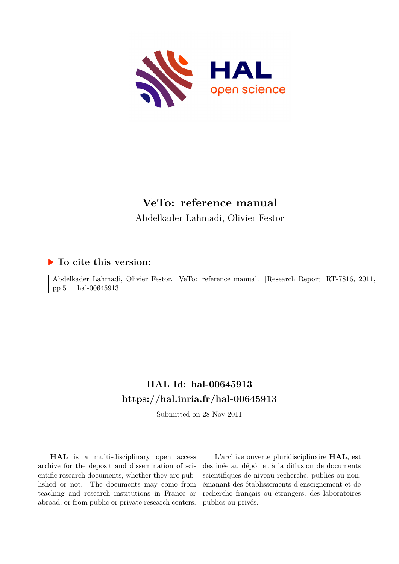

# **VeTo: reference manual**

Abdelkader Lahmadi, Olivier Festor

# **To cite this version:**

Abdelkader Lahmadi, Olivier Festor. VeTo: reference manual. [Research Report] RT-7816, 2011, pp.51. hal-00645913

# **HAL Id: hal-00645913 <https://hal.inria.fr/hal-00645913>**

Submitted on 28 Nov 2011

**HAL** is a multi-disciplinary open access archive for the deposit and dissemination of scientific research documents, whether they are published or not. The documents may come from teaching and research institutions in France or abroad, or from public or private research centers.

L'archive ouverte pluridisciplinaire **HAL**, est destinée au dépôt et à la diffusion de documents scientifiques de niveau recherche, publiés ou non, émanant des établissements d'enseignement et de recherche français ou étrangers, des laboratoires publics ou privés.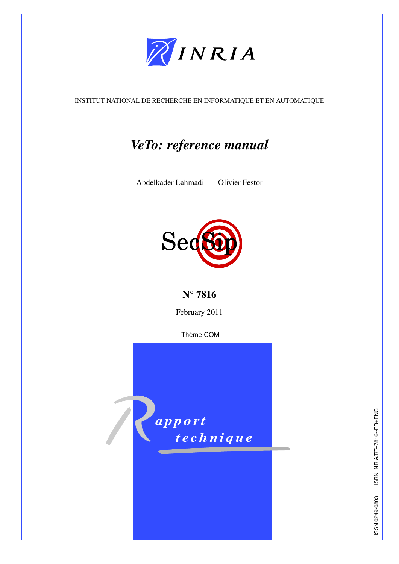

INSTITUT NATIONAL DE RECHERCHE EN INFORMATIQUE ET EN AUTOMATIQUE

# *VeTo: reference manual*

Abdelkader Lahmadi — Olivier Festor



N° 7816

February 2011

Thème COM

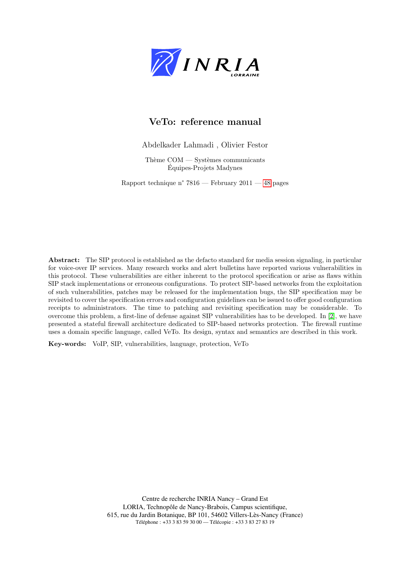

# VeTo: reference manual

Abdelkader Lahmadi , Olivier Festor

Thème  $COM -$  Systèmes communicants Equipes-Projets Madynes ´

Rapport technique n° 7816 — February 2011 — 48 pages

Abstract: The SIP protocol is established as the defacto standard for media session signaling, in particular for voice-over IP services. Many research works and alert bulletins have reported various vulnerabilities in this protocol. These vulnerabilities are either inherent to the protocol specification or arise as flaws within SIP stack implementations or erroneous configurations. To protect SIP-based networks from the exploitation of such vulnerabilities, patches may be released for the implementation bugs, the SIP specification may be revisited to cover the specification errors and configuration guidelines can be issued to offer good configuration receipts to administrators. The time to patching and revisiting specification may be considerable. To overcome this problem, a first-line of defense against SIP vulnerabilities has to be developed. In [2], we have presented a stateful firewall architecture dedicated to SIP-based networks protection. The firewall runtime uses a domain specific language, called VeTo. Its design, syntax and semantics are described in this work.

Key-words: VoIP, SIP, vulnerabilities, language, protection, VeTo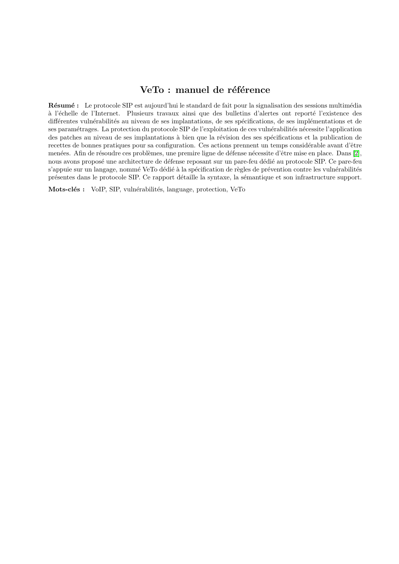# VeTo : manuel de référence

Résumé : Le protocole SIP est aujourd'hui le standard de fait pour la signalisation des sessions multimédia à l'échelle de l'Internet. Plusieurs travaux ainsi que des bulletins d'alertes ont reporté l'existence des différentes vulnérabilités au niveau de ses implantations, de ses spécifications, de ses implémentations et de ses paramétrages. La protection du protocole SIP de l'exploitation de ces vulnérabilités nécessite l'application des patches au niveau de ses implantations à bien que la révision des ses spécifications et la publication de recettes de bonnes pratiques pour sa configuration. Ces actions prennent un temps considérable avant d'être menées. Afin de résoudre ces problèmes, une premire ligne de défense nécessite d'être mise en place. Dans [2], nous avons proposé une architecture de défense reposant sur un pare-feu dédié au protocole SIP. Ce pare-feu s'appuie sur un langage, nommé VeTo dédié à la spécification de règles de prévention contre les vulnérabilités présentes dans le protocole SIP. Ce rapport détaille la syntaxe, la sémantique et son infrastructure support.

Mots-clés : VoIP, SIP, vulnérabilités, language, protection, VeTo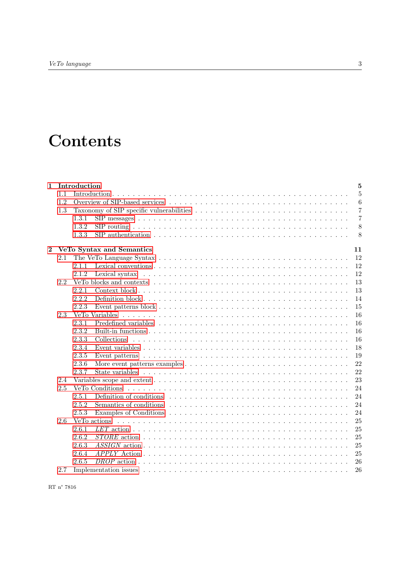# **Contents**

| $\mathbf{1}$ |     | Introduction                                                                                                             | 5              |  |  |  |  |  |  |  |  |
|--------------|-----|--------------------------------------------------------------------------------------------------------------------------|----------------|--|--|--|--|--|--|--|--|
|              | 1.1 |                                                                                                                          | $\overline{5}$ |  |  |  |  |  |  |  |  |
|              | 1.2 |                                                                                                                          | 6              |  |  |  |  |  |  |  |  |
|              | 1.3 |                                                                                                                          | $\overline{7}$ |  |  |  |  |  |  |  |  |
|              |     | 1.3.1                                                                                                                    | $\overline{7}$ |  |  |  |  |  |  |  |  |
|              |     | 1.3.2                                                                                                                    | 8              |  |  |  |  |  |  |  |  |
|              |     | SIP authentication $\ldots \ldots \ldots \ldots \ldots \ldots \ldots \ldots \ldots \ldots \ldots \ldots \ldots$<br>1.3.3 | 8              |  |  |  |  |  |  |  |  |
| $\bf{2}$     |     | VeTo Syntax and Semantics<br>11                                                                                          |                |  |  |  |  |  |  |  |  |
|              | 2.1 | 12                                                                                                                       |                |  |  |  |  |  |  |  |  |
|              |     | 12<br>2.1.1                                                                                                              |                |  |  |  |  |  |  |  |  |
|              |     | 2.1.2                                                                                                                    | 12             |  |  |  |  |  |  |  |  |
|              | 2.2 |                                                                                                                          | 13             |  |  |  |  |  |  |  |  |
|              |     | 2.2.1                                                                                                                    | 13             |  |  |  |  |  |  |  |  |
|              |     | 2.2.2                                                                                                                    | 14             |  |  |  |  |  |  |  |  |
|              |     | 2.2.3                                                                                                                    | 15             |  |  |  |  |  |  |  |  |
|              | 2.3 |                                                                                                                          | 16             |  |  |  |  |  |  |  |  |
|              |     | 2.3.1                                                                                                                    | 16             |  |  |  |  |  |  |  |  |
|              |     | 2.3.2                                                                                                                    | 16             |  |  |  |  |  |  |  |  |
|              |     | 2.3.3                                                                                                                    | 16             |  |  |  |  |  |  |  |  |
|              |     | 2.3.4                                                                                                                    | 18             |  |  |  |  |  |  |  |  |
|              |     | 2.3.5                                                                                                                    | 19             |  |  |  |  |  |  |  |  |
|              |     | 2.3.6                                                                                                                    | 22             |  |  |  |  |  |  |  |  |
|              |     | 2.3.7                                                                                                                    | 22             |  |  |  |  |  |  |  |  |
|              | 2.4 |                                                                                                                          | 23             |  |  |  |  |  |  |  |  |
|              | 2.5 |                                                                                                                          | 24             |  |  |  |  |  |  |  |  |
|              |     | 2.5.1                                                                                                                    | 24             |  |  |  |  |  |  |  |  |
|              |     | 2.5.2                                                                                                                    | 24             |  |  |  |  |  |  |  |  |
|              |     | 2.5.3                                                                                                                    | 24             |  |  |  |  |  |  |  |  |
|              | 2.6 | VeTo actions                                                                                                             | 25             |  |  |  |  |  |  |  |  |
|              |     | 2.6.1                                                                                                                    | 25             |  |  |  |  |  |  |  |  |
|              |     | 2.6.2                                                                                                                    | 25             |  |  |  |  |  |  |  |  |
|              |     | 2.6.3                                                                                                                    | 25             |  |  |  |  |  |  |  |  |
|              |     | 2.6.4                                                                                                                    | 25             |  |  |  |  |  |  |  |  |
|              |     | 2.6.5                                                                                                                    | 26             |  |  |  |  |  |  |  |  |
|              | 2.7 |                                                                                                                          | 26             |  |  |  |  |  |  |  |  |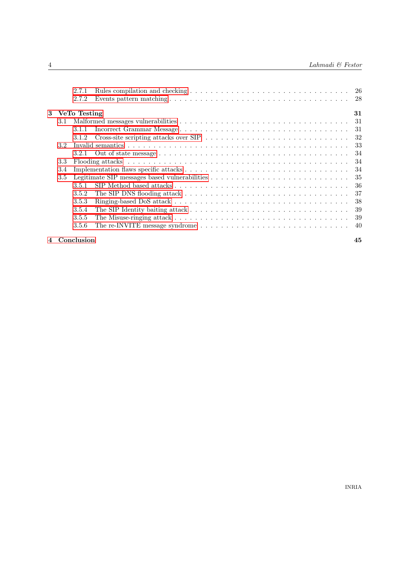|               | 2.7.1          |                                                                                                               |     |
|---------------|----------------|---------------------------------------------------------------------------------------------------------------|-----|
|               | 2.7.2          |                                                                                                               |     |
|               | 3 VeTo Testing |                                                                                                               | 31  |
| 3.1           |                |                                                                                                               | 31  |
|               | 3.1.1          |                                                                                                               | 31  |
|               | 3.1.2          | Cross-site scripting attacks over SIP $\ldots \ldots \ldots \ldots \ldots \ldots \ldots \ldots \ldots \ldots$ | 32  |
| 3.2           |                |                                                                                                               | 33  |
|               | 3.2.1          |                                                                                                               | 34  |
| 3.3           |                |                                                                                                               | -34 |
| 3.4           |                |                                                                                                               | 34  |
| $3.5^{\circ}$ |                |                                                                                                               | 35  |
|               | 3.5.1          |                                                                                                               | 36  |
|               | 3.5.2          |                                                                                                               | 37  |
|               | 3.5.3          |                                                                                                               | 38  |
|               | 3.5.4          |                                                                                                               | 39  |
|               | 3.5.5          |                                                                                                               | -39 |
|               | 3.5.6          |                                                                                                               | 40  |
|               |                |                                                                                                               |     |

## 4 Conclusion 45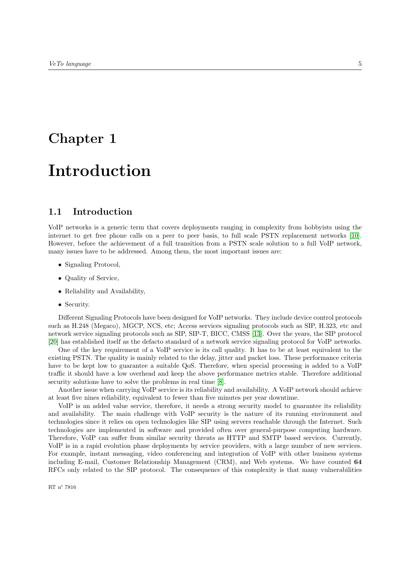# Chapter 1

# Introduction

# 1.1 Introduction

VoIP networks is a generic term that covers deployments ranging in complexity from hobbyists using the internet to get free phone calls on a peer to peer basis, to full scale PSTN replacement networks [10]. However, before the achievement of a full transition from a PSTN scale solution to a full VoIP network, many issues have to be addressed. Among them, the most important issues are:

- Signaling Protocol,
- Quality of Service,
- Reliability and Availability,
- Security.

Different Signaling Protocols have been designed for VoIP networks. They include device control protocols such as H.248 (Megaco), MGCP, NCS, etc; Access services signaling protocols such as SIP, H.323, etc and network service signaling protocols such as SIP, SIP-T, BICC, CMSS [13]. Over the years, the SIP protocol [20] has established itself as the defacto standard of a network service signaling protocol for VoIP networks.

One of the key requirement of a VoIP service is its call quality. It has to be at least equivalent to the existing PSTN. The quality is mainly related to the delay, jitter and packet loss. These performance criteria have to be kept low to guarantee a suitable QoS. Therefore, when special processing is added to a VoIP traffic it should have a low overhead and keep the above performance metrics stable. Therefore additional security solutions have to solve the problems in real time  $[8]$ .

Another issue when carrying VoIP service is its reliability and availability. A VoIP network should achieve at least five nines reliability, equivalent to fewer than five minutes per year downtime.

VoIP is an added value service, therefore, it needs a strong security model to guarantee its reliability and availability. The main challenge with VoIP security is the nature of its running environment and technologies since it relies on open technologies like SIP using servers reachable through the Internet. Such technologies are implemented in software and provided often over general-purpose computing hardware. Therefore, VoIP can suffer from similar security threats as HTTP and SMTP based services. Currently, VoIP is in a rapid evolution phase deployments by service providers, with a large number of new services. For example, instant messaging, video conferencing and integration of VoIP with other business systems including E-mail, Customer Relationship Management (CRM), and Web systems. We have counted 64 RFCs only related to the SIP protocol. The consequence of this complexity is that many vulnerabilities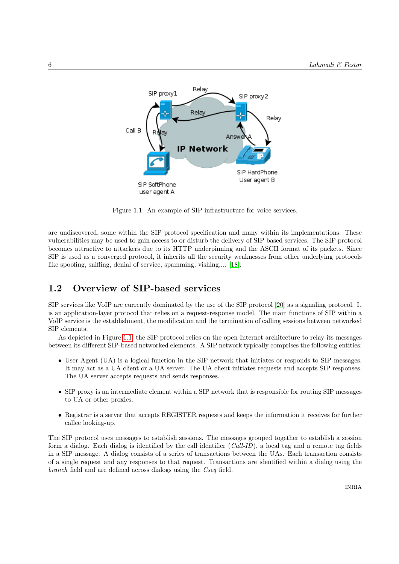

Figure 1.1: An example of SIP infrastructure for voice services.

are undiscovered, some within the SIP protocol specification and many within its implementations. These vulnerabilities may be used to gain access to or disturb the delivery of SIP based services. The SIP protocol becomes attractive to attackers due to its HTTP underpinning and the ASCII format of its packets. Since SIP is used as a converged protocol, it inherits all the security weaknesses from other underlying protocols like spoofing, sniffing, denial of service, spamming, vishing,... [18].

## 1.2 Overview of SIP-based services

SIP services like VoIP are currently dominated by the use of the SIP protocol [20] as a signaling protocol. It is an application-layer protocol that relies on a request-response model. The main functions of SIP within a VoIP service is the establishment, the modification and the termination of calling sessions between networked SIP elements.

As depicted in Figure 1.1, the SIP protocol relies on the open Internet architecture to relay its messages between its different SIP-based networked elements. A SIP network typically comprises the following entities:

- User Agent (UA) is a logical function in the SIP network that initiates or responds to SIP messages. It may act as a UA client or a UA server. The UA client initiates requests and accepts SIP responses. The UA server accepts requests and sends responses.
- SIP proxy is an intermediate element within a SIP network that is responsible for routing SIP messages to UA or other proxies.
- Registrar is a server that accepts REGISTER requests and keeps the information it receives for further callee looking-up.

The SIP protocol uses messages to establish sessions. The messages grouped together to establish a session form a dialog. Each dialog is identified by the call identifier (Call-ID), a local tag and a remote tag fields in a SIP message. A dialog consists of a series of transactions between the UAs. Each transaction consists of a single request and any responses to that request. Transactions are identified within a dialog using the branch field and are defined across dialogs using the Cseq field.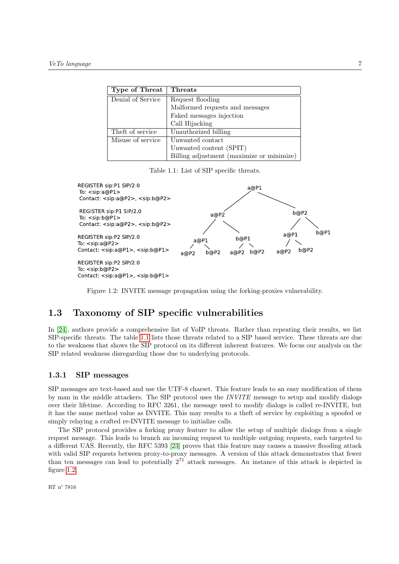| Type of Threat    | <b>Threats</b>                            |  |
|-------------------|-------------------------------------------|--|
| Denial of Service | Request flooding                          |  |
|                   | Malformed requests and messages           |  |
|                   | Faked messages injection                  |  |
|                   | Call Hijacking                            |  |
| Theft of service  | Unauthorized billing                      |  |
| Misuse of service | Unwanted contact                          |  |
|                   | Unwanted content (SPIT)                   |  |
|                   | Billing adjustment (maximize or minimize) |  |

Table 1.1: List of SIP specific threats.



Figure 1.2: INVITE message propagation using the forking-proxies vulnerability.

# 1.3 Taxonomy of SIP specific vulnerabilities

In [24], authors provide a comprehensive list of VoIP threats. Rather than repeating their results, we list SIP-specific threats. The table 1.1 lists those threats related to a SIP based service. These threats are due to the weakness that shows the SIP protocol on its different inherent features. We focus our analysis on the SIP related weakness disregarding those due to underlying protocols.

### 1.3.1 SIP messages

SIP messages are text-based and use the UTF-8 charset. This feature leads to an easy modification of them by man in the middle attackers. The SIP protocol uses the *INVITE* message to setup and modify dialogs over their lifetime. According to RFC 3261, the message used to modify dialogs is called re-INVITE, but it has the same method value as INVITE. This may results to a theft of service by exploiting a spoofed or simply relaying a crafted re-INVITE message to initialize calls.

The SIP protocol provides a forking proxy feature to allow the setup of multiple dialogs from a single request message. This leads to branch an incoming request to multiple outgoing requests, each targeted to a different UAS. Recently, the RFC 5393 [23] proves that this feature may causes a massive flooding attack with valid SIP requests between proxy-to-proxy messages. A version of this attack demonstrates that fewer than ten messages can lead to potentially 2<sup>71</sup> attack messages. An instance of this attack is depicted in figure 1.2.

RT n° 7816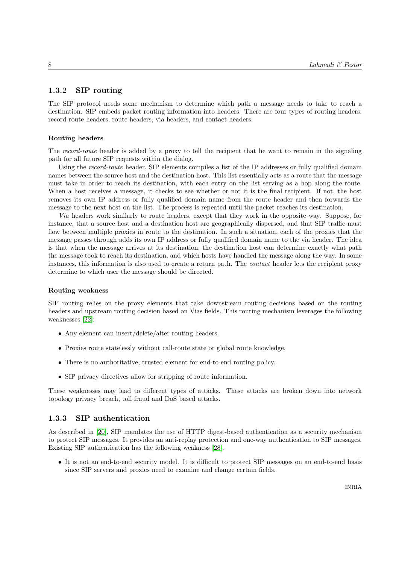### 1.3.2 SIP routing

The SIP protocol needs some mechanism to determine which path a message needs to take to reach a destination. SIP embeds packet routing information into headers. There are four types of routing headers: record route headers, route headers, via headers, and contact headers.

### Routing headers

The record-route header is added by a proxy to tell the recipient that he want to remain in the signaling path for all future SIP requests within the dialog.

Using the *record-route* header, SIP elements compiles a list of the IP addresses or fully qualified domain names between the source host and the destination host. This list essentially acts as a route that the message must take in order to reach its destination, with each entry on the list serving as a hop along the route. When a host receives a message, it checks to see whether or not it is the final recipient. If not, the host removes its own IP address or fully qualified domain name from the route header and then forwards the message to the next host on the list. The process is repeated until the packet reaches its destination.

Via headers work similarly to route headers, except that they work in the opposite way. Suppose, for instance, that a source host and a destination host are geographically dispersed, and that SIP traffic must flow between multiple proxies in route to the destination. In such a situation, each of the proxies that the message passes through adds its own IP address or fully qualified domain name to the via header. The idea is that when the message arrives at its destination, the destination host can determine exactly what path the message took to reach its destination, and which hosts have handled the message along the way. In some instances, this information is also used to create a return path. The contact header lets the recipient proxy determine to which user the message should be directed.

#### Routing weakness

SIP routing relies on the proxy elements that take downstream routing decisions based on the routing headers and upstream routing decision based on Vias fields. This routing mechanism leverages the following weaknesses [22]:

- Any element can insert/delete/alter routing headers.
- Proxies route statelessly without call-route state or global route knowledge.
- There is no authoritative, trusted element for end-to-end routing policy.
- SIP privacy directives allow for stripping of route information.

These weaknesses may lead to different types of attacks. These attacks are broken down into network topology privacy breach, toll fraud and DoS based attacks.

### 1.3.3 SIP authentication

As described in [20], SIP mandates the use of HTTP digest-based authentication as a security mechanism to protect SIP messages. It provides an anti-replay protection and one-way authentication to SIP messages. Existing SIP authentication has the following weakness [28].

• It is not an end-to-end security model. It is difficult to protect SIP messages on an end-to-end basis since SIP servers and proxies need to examine and change certain fields.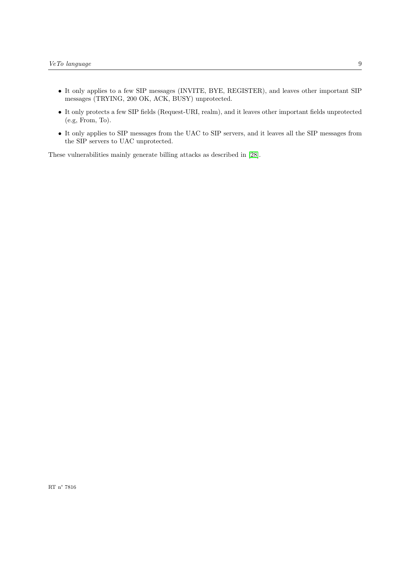- It only applies to a few SIP messages (INVITE, BYE, REGISTER), and leaves other important SIP messages (TRYING, 200 OK, ACK, BUSY) unprotected.
- It only protects a few SIP fields (Request-URI, realm), and it leaves other important fields unprotected (e.g, From, To).
- It only applies to SIP messages from the UAC to SIP servers, and it leaves all the SIP messages from the SIP servers to UAC unprotected.

These vulnerabilities mainly generate billing attacks as described in [28].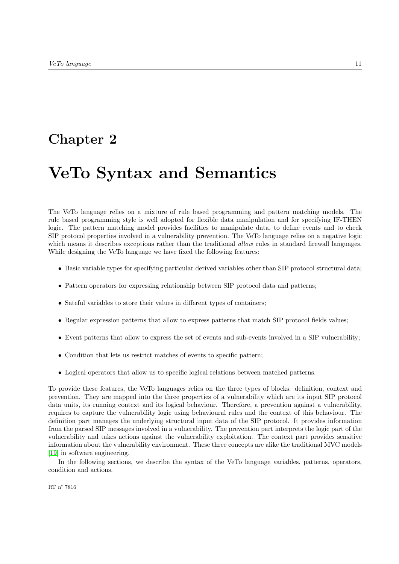# Chapter 2

# VeTo Syntax and Semantics

The VeTo language relies on a mixture of rule based programming and pattern matching models. The rule based programming style is well adopted for flexible data manipulation and for specifying IF-THEN logic. The pattern matching model provides facilities to manipulate data, to define events and to check SIP protocol properties involved in a vulnerability prevention. The VeTo language relies on a negative logic which means it describes exceptions rather than the traditional *allow* rules in standard firewall languages. While designing the VeTo language we have fixed the following features:

- Basic variable types for specifying particular derived variables other than SIP protocol structural data;
- Pattern operators for expressing relationship between SIP protocol data and patterns;
- Sateful variables to store their values in different types of containers;
- Regular expression patterns that allow to express patterns that match SIP protocol fields values;
- Event patterns that allow to express the set of events and sub-events involved in a SIP vulnerability;
- Condition that lets us restrict matches of events to specific pattern;
- Logical operators that allow us to specific logical relations between matched patterns.

To provide these features, the VeTo languages relies on the three types of blocks: definition, context and prevention. They are mapped into the three properties of a vulnerability which are its input SIP protocol data units, its running context and its logical behaviour. Therefore, a prevention against a vulnerability, requires to capture the vulnerability logic using behavioural rules and the context of this behaviour. The definition part manages the underlying structural input data of the SIP protocol. It provides information from the parsed SIP messages involved in a vulnerability. The prevention part interprets the logic part of the vulnerability and takes actions against the vulnerability exploitation. The context part provides sensitive information about the vulnerability environment. These three concepts are alike the traditional MVC models [19] in software engineering.

In the following sections, we describe the syntax of the VeTo language variables, patterns, operators, condition and actions.

RT n° 7816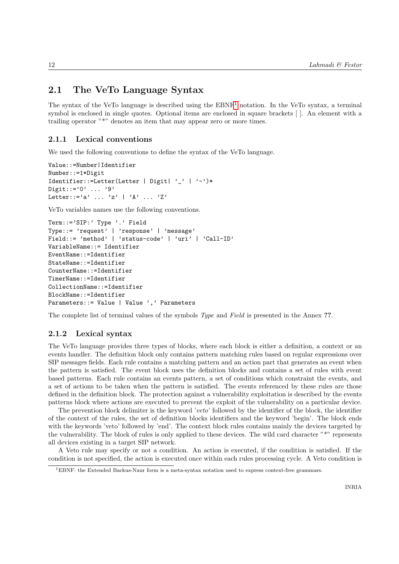# 2.1 The VeTo Language Syntax

The syntax of the VeTo language is described using the EBNF<sup>1</sup> notation. In the VeTo syntax, a terminal symbol is enclosed in single quotes. Optional items are enclosed in square brackets [ ]. An element with a trailing operator "\*" denotes an item that may appear zero or more times.

### 2.1.1 Lexical conventions

We used the following conventions to define the syntax of the VeTo language.

```
Value::=Number|Identifier
Number::=1*Digit
Identifier::=Letter(Letter | Digit| '_' | '-')*
Digit::='0' \dots'9'
Letter::='a' ... 'z' | 'A' ... 'Z'
```
VeTo variables names use the following conventions.

```
Term::='SIP:' Type '.' Field
Type::= 'request' | 'response' | 'message'
Field::= 'method' | 'status-code' | 'uri' | 'Call-ID'
VariableName::= Identifier
EventName::=Identifier
StateName::=Identifier
CounterName::=Identifier
TimerName::=Identifier
CollectionName::=Identifier
BlockName::=Identifier
Parameters::= Value | Value ',' Parameters
```
The complete list of terminal values of the symbols *Type* and *Field* is presented in the Annex ??.

### 2.1.2 Lexical syntax

The VeTo language provides three types of blocks, where each block is either a definition, a context or an events handler. The definition block only contains pattern matching rules based on regular expressions over SIP messages fields. Each rule contains a matching pattern and an action part that generates an event when the pattern is satisfied. The event block uses the definition blocks and contains a set of rules with event based patterns. Each rule contains an events pattern, a set of conditions which constraint the events, and a set of actions to be taken when the pattern is satisfied. The events referenced by these rules are those defined in the definition block. The protection against a vulnerability exploitation is described by the events patterns block where actions are executed to prevent the exploit of the vulnerability on a particular device.

The prevention block delimiter is the keyword 'veto' followed by the identifier of the block, the identifier of the context of the rules, the set of definition blocks identifiers and the keyword 'begin'. The block ends with the keywords 'veto' followed by 'end'. The context block rules contains mainly the devices targeted by the vulnerability. The block of rules is only applied to these devices. The wild card character "\*" represents all devices existing in a target SIP network.

A Veto rule may specify or not a condition. An action is executed, if the condition is satisfied. If the condition is not specified, the action is executed once within each rules processing cycle. A Veto condition is

<sup>&</sup>lt;sup>1</sup>EBNF: the Extended Backus-Naur form is a meta-syntax notation used to express context-free grammars.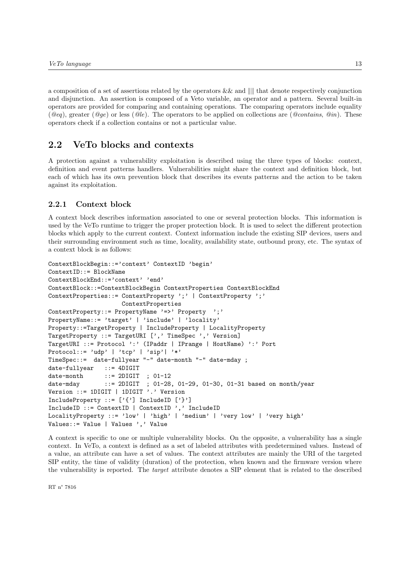a composition of a set of assertions related by the operators  $&\&$  and  $\| \$  that denote respectively conjunction and disjunction. An assertion is composed of a Veto variable, an operator and a pattern. Several built-in operators are provided for comparing and containing operations. The comparing operators include equality ( $@eq$ ), greater ( $@qe$ ) or less ( $@le$ ). The operators to be applied on collections are ( $@contains$ ,  $@in$ ). These operators check if a collection contains or not a particular value.

## 2.2 VeTo blocks and contexts

A protection against a vulnerability exploitation is described using the three types of blocks: context, definition and event patterns handlers. Vulnerabilities might share the context and definition block, but each of which has its own prevention block that describes its events patterns and the action to be taken against its exploitation.

### 2.2.1 Context block

A context block describes information associated to one or several protection blocks. This information is used by the VeTo runtime to trigger the proper protection block. It is used to select the different protection blocks which apply to the current context. Context information include the existing SIP devices, users and their surrounding environment such as time, locality, availability state, outbound proxy, etc. The syntax of a context block is as follows:

```
ContextBlockBegin::='context' ContextID 'begin'
ContextID::= BlockName
ContextBlockEnd::='context' 'end'
ContextBlock::=ContextBlockBegin ContextProperties ContextBlockEnd
ContextProperties::= ContextProperty ';' | ContextProperty ';'
                    ContextProperties
ContextProperty::= PropertyName '=>' Property ';'
PropertyName::= 'target' | 'include' | 'locality'
Property::=TargetProperty | IncludeProperty | LocalityProperty
TargetProperty ::= TargetURI [',' TimeSpec ',' Version]
TargetURI ::= Protocol ':' (IPaddr | IPrange | HostName) ':' Port
Protocol::= 'udp' | 'tcp' | 'sip'| '*'
TimeSpec::= date-fullyear "-" date-month "-" date-mday ;
date-fullyear ::= 4DIGIT
date-month ::= 2DIGIT ; 01-12
date-mday ::= 2DIGIT ; 01-28, 01-29, 01-30, 01-31 based on month/year
Version ::= 1DIGIT | 1DIGIT '.' Version
IncludeProperty ::= ['{'}'] IncludeID ['}']
IncludeID ::= ContextID | ContextID ',' IncludeID
LocalityProperty ::= 'low' | 'high' | 'medium' | 'very low' | 'very high'
Values::= Value | Values ',' Value
```
A context is specific to one or multiple vulnerability blocks. On the opposite, a vulnerability has a single context. In VeTo, a context is defined as a set of labeled attributes with predetermined values. Instead of a value, an attribute can have a set of values. The context attributes are mainly the URI of the targeted SIP entity, the time of validity (duration) of the protection, when known and the firmware version where the vulnerability is reported. The target attribute denotes a SIP element that is related to the described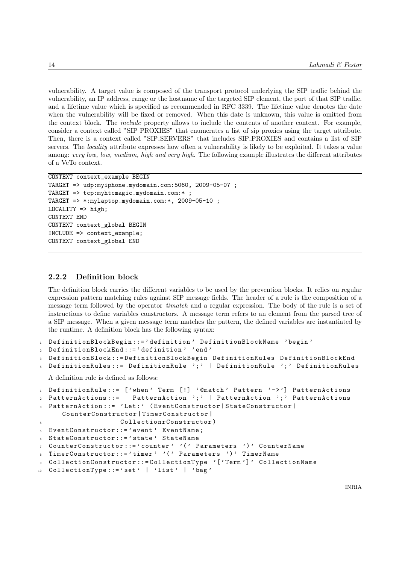vulnerability. A target value is composed of the transport protocol underlying the SIP traffic behind the vulnerability, an IP address, range or the hostname of the targeted SIP element, the port of that SIP traffic. and a lifetime value which is specified as recommended in RFC 3339. The lifetime value denotes the date when the vulnerability will be fixed or removed. When this date is unknown, this value is omitted from the context block. The include property allows to include the contents of another context. For example, consider a context called "SIP PROXIES" that enumerates a list of sip proxies using the target attribute. Then, there is a context called "SIP SERVERS" that includes SIP PROXIES and contains a list of SIP servers. The locality attribute expresses how often a vulnerability is likely to be exploited. It takes a value among: very low, low, medium, high and very high. The following example illustrates the different attributes of a VeTo context.

```
CONTEXT context_example BEGIN
TARGET => udp:myiphone.mydomain.com:5060, 2009-05-07 ;
TARGET => tcp:myhtcmagic.mydomain.com:* ;
TARGET => *:mylaptop.mydomain.com:*, 2009-05-10 ;
LOGLITY => high;
CONTEXT END
CONTEXT context_global BEGIN
INCLUDE => context_example;
CONTEXT context_global END
```
### 2.2.2 Definition block

The definition block carries the different variables to be used by the prevention blocks. It relies on regular expression pattern matching rules against SIP message fields. The header of a rule is the composition of a message term followed by the operator @match and a regular expression. The body of the rule is a set of instructions to define variables constructors. A message term refers to an element from the parsed tree of a SIP message. When a given message term matches the pattern, the defined variables are instantiated by the runtime. A definition block has the following syntax:

```
1 DefinitionBlockBegin::='definition' DefinitionBlockName 'begin'
```

```
2 DefinitionBlockEnd ::= ' definition ' 'end '
```

```
3 DefinitionBlock ::= DefinitionBlockBegin DefinitionRules DefinitionBlockEnd
```

```
DefinitionRules ::= DefinitionRule ';' | DefinitionRule ';' DefinitionRules
```
A definition rule is defined as follows:

```
1 DefinitionRule::= ['when' Term [!] '@match' Pattern '->'] PatternActions
2 PatternActions ::= PatternAction '; ' | PatternAction '; ' PatternActions
3 PatternAction ::= ' Let : ' ( EventConstructor | StateConstructor |
     CounterConstructor | TimerConstructor |
4 CollectionrConstructor )
 EventConstructor ::= ' event ' EventName ;
 StateConstructor::='state' StateName
  CounterConstructor ::= ' counter ' '(' Parameters ')' CounterName
  TimerConstructor ::= 'timer ' '( ' Parameters ') ' TimerName
 9 CollectionConstructor ::= CollectionType '[ ' Term '] ' CollectionName
 CollectionType ::= 'set ' | 'list ' | 'bag'
```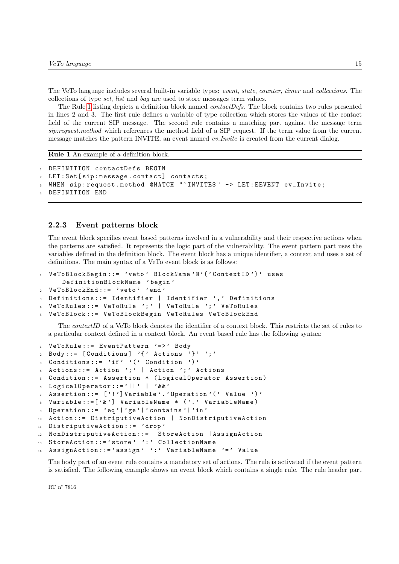The VeTo language includes several built-in variable types: event, state, counter, timer and collections. The collections of type set, list and bag are used to store messages term values.

The Rule 1 listing depicts a definition block named contactDefs. The block contains two rules presented in lines 2 and 3. The first rule defines a variable of type collection which stores the values of the contact field of the current SIP message. The second rule contains a matching part against the message term sip:request.method which references the method field of a SIP request. If the term value from the current message matches the pattern INVITE, an event named ev<sub>-Invite</sub> is created from the current dialog.

Rule 1 An example of a definition block.

```
1 DEFINITION contactDefs BEGIN
2 LET: Set [sip: message.contact] contacts;
3 WHEN sip:request.method @MATCH "^INVITE$" -> LET:EEVENT ev_Invite;
 DEFINITION END
```
### 2.2.3 Event patterns block

The event block specifies event based patterns involved in a vulnerability and their respective actions when the patterns are satisfied. It represents the logic part of the vulnerability. The event pattern part uses the variables defined in the definition block. The event block has a unique identifier, a context and uses a set of definitions. The main syntax of a VeTo event block is as follows:

```
1 VeToBlockBegin ::= ' veto ' BlockName '@ '{ ' ContextID '} ' uses
     DefinitionBlockName ' begin '
2 VeToBlockEnd ::= ' veto ' 'end '
 Definitions ::= Identifier | Identifier ', ' Definitions
 4 VeToRules ::= VeToRule '; ' | VeToRule '; ' VeToRules
  VeToBlock ::= VeToBlockBegin VeToRules VeToBlockEnd
```
The contextID of a VeTo block denotes the identifier of a context block. This restricts the set of rules to a particular context defined in a context block. An event based rule has the following syntax:

```
1 VeToRule::= EventPattern '=>' Body
2 Body ::= [Conditions] '{' Actions '}' ';'
 Conditions ::= 'if' '(' Condition ')'
4 Actions ::= Action ';' | Action ';' Actions
5 Condition ::= Assertion * ( LogicalOperator Assertion )
  LogicalOperator ::='||' | '&&'
7 Assertion ::= [ '! '] Variable '. ' Operation '( ' Value ') '
8 Variable::=['&'] VariableName * ('.' VariableName)
9 Operation ::= 'eq '| ' ge '| ' contains '| ' in '
10 Action ::= DistriputiveAction | NonDistriputiveAction
11 DistriputiveAction ::= 'drop'
12 NonDistriputiveAction ::= StoreAction | AssignAction
13 StoreAction ::= 'store ' ': ' CollectionName
  AssignAction ::= 'assign ' ': ' VariableName '=' Value
```
The body part of an event rule contains a mandatory set of actions. The rule is activated if the event pattern is satisfied. The following example shows an event block which contains a single rule. The rule header part

RT n° 7816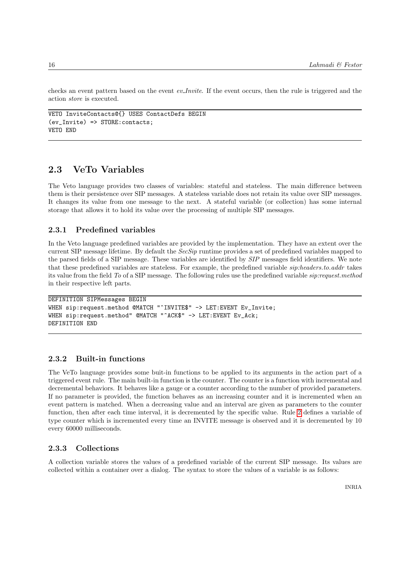checks an event pattern based on the event *ev*-*Invite*. If the event occurs, then the rule is triggered and the action store is executed.

```
VETO InviteContacts@{} USES ContactDefs BEGIN
(ev_Invite) => STORE: contacts;VETO END
```
# 2.3 VeTo Variables

The Veto language provides two classes of variables: stateful and stateless. The main difference between them is their persistence over SIP messages. A stateless variable does not retain its value over SIP messages. It changes its value from one message to the next. A stateful variable (or collection) has some internal storage that allows it to hold its value over the processing of multiple SIP messages.

### 2.3.1 Predefined variables

In the Veto language predefined variables are provided by the implementation. They have an extent over the current SIP message lifetime. By default the  $SecSip$  runtime provides a set of predefined variables mapped to the parsed fields of a SIP message. These variables are identified by SIP messages field identifiers. We note that these predefined variables are stateless. For example, the predefined variable sip:headers.to.addr takes its value from the field To of a SIP message. The following rules use the predefined variable sip:request.method in their respective left parts.

```
DEFINITION SIPMessages BEGIN
WHEN sip:request.method @MATCH "^INVITE$" -> LET:EVENT Ev_Invite;
WHEN sip:request.method" @MATCH "^ACK$" -> LET:EVENT Ev_Ack;
DEFINITION END
```
### 2.3.2 Built-in functions

The VeTo language provides some buit-in functions to be applied to its arguments in the action part of a triggered event rule. The main built-in function is the counter. The counter is a function with incremental and decremental behaviors. It behaves like a gauge or a counter according to the number of provided parameters. If no parameter is provided, the function behaves as an increasing counter and it is incremented when an event pattern is matched. When a decreasing value and an interval are given as parameters to the counter function, then after each time interval, it is decremented by the specific value. Rule 2 defines a variable of type counter which is incremented every time an INVITE message is observed and it is decremented by 10 every 60000 milliseconds.

### 2.3.3 Collections

A collection variable stores the values of a predefined variable of the current SIP message. Its values are collected within a container over a dialog. The syntax to store the values of a variable is as follows: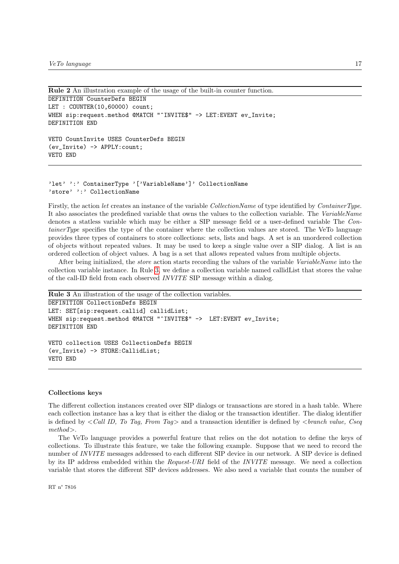```
Rule 2 An illustration example of the usage of the built-in counter function.
```

```
DEFINITION CounterDefs BEGIN
LET : COUNTER(10,60000) count;
WHEN sip:request.method @MATCH "^INVITE$" -> LET:EVENT ev_Invite;
DEFINITION END
VETO CountInvite USES CounterDefs BEGIN
(ev_Invite) -> APPLY:count;
```

```
VETO END
```

```
'let' ':' ContainerType '['VariableName']' CollectionName
'store' ':' CollectionName
```
Firstly, the action let creates an instance of the variable CollectionName of type identified by ContainerType. It also associates the predefined variable that owns the values to the collection variable. The VariableName denotes a statless variable which may be either a SIP message field or a user-defined variable The ContainerType specifies the type of the container where the collection values are stored. The VeTo language provides three types of containers to store collections: sets, lists and bags. A set is an unordered collection of objects without repeated values. It may be used to keep a single value over a SIP dialog. A list is an ordered collection of object values. A bag is a set that allows repeated values from multiple objects.

After being initialized, the *store* action starts recording the values of the variable VariableName into the collection variable instance. In Rule 3, we define a collection variable named callidList that stores the value of the call-ID field from each observed INVITE SIP message within a dialog.

```
Rule 3 An illustration of the usage of the collection variables.
DEFINITION CollectionDefs BEGIN
LET: SET[sip:request.callid] callidList;
WHEN sip:request.method @MATCH "^INVITE$" -> LET:EVENT ev_Invite;
DEFINITION END
VETO collection USES CollectionDefs BEGIN
(ev_Invite) -> STORE:CallidList;
VETO END
```
### Collections keys

The different collection instances created over SIP dialogs or transactions are stored in a hash table. Where each collection instance has a key that is either the dialog or the transaction identifier. The dialog identifier is defined by  $\lt$  Call ID, To Tag, From Tag and a transaction identifier is defined by  $\lt$ branch value, Cseq method>.

The VeTo language provides a powerful feature that relies on the dot notation to define the keys of collections. To illustrate this feature, we take the following example. Suppose that we need to record the number of INVITE messages addressed to each different SIP device in our network. A SIP device is defined by its IP address embedded within the Request-URI field of the INVITE message. We need a collection variable that stores the different SIP devices addresses. We also need a variable that counts the number of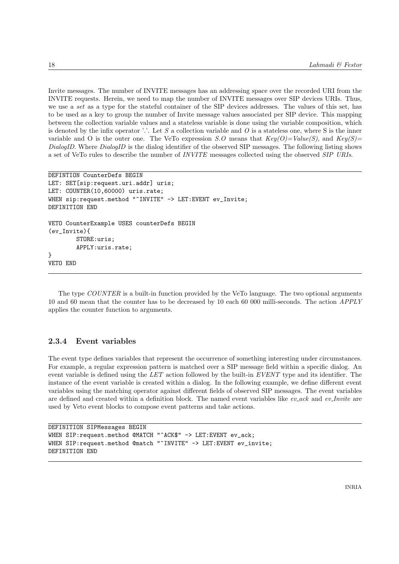Invite messages. The number of INVITE messages has an addressing space over the recorded URI from the INVITE requests. Herein, we need to map the number of INVITE messages over SIP devices URIs. Thus, we use a set as a type for the stateful container of the SIP devices addresses. The values of this set, has to be used as a key to group the number of Invite message values associated per SIP device. This mapping between the collection variable values and a stateless variable is done using the variable composition, which is denoted by the infix operator '.'. Let  $S$  a collection variable and  $O$  is a stateless one, where  $S$  is the inner variable and O is the outer one. The VeTo expression S.O means that  $Key(O)=Value(S)$ , and  $Key(S)=$ DialogID. Where DialogID is the dialog identifier of the observed SIP messages. The following listing shows a set of VeTo rules to describe the number of INVITE messages collected using the observed SIP URIs.

```
DEFINTION CounterDefs BEGIN
LET: SET[sip:request.uri.addr] uris;
LET: COUNTER(10,60000) uris.rate;
WHEN sip:request.method "^INVITE" -> LET:EVENT ev_Invite;
DEFINITION END
VETO CounterExample USES counterDefs BEGIN
(ev_Invite){
        STORE:uris;
        APPLY:uris.rate;
}
VETO END
```
The type COUNTER is a built-in function provided by the VeTo language. The two optional arguments 10 and 60 mean that the counter has to be decreased by 10 each 60 000 milli-seconds. The action APPLY applies the counter function to arguments.

### 2.3.4 Event variables

The event type defines variables that represent the occurrence of something interesting under circumstances. For example, a regular expression pattern is matched over a SIP message field within a specific dialog. An event variable is defined using the  $LET$  action followed by the built-in  $EVENT$  type and its identifier. The instance of the event variable is created within a dialog. In the following example, we define different event variables using the matching operator against different fields of observed SIP messages. The event variables are defined and created within a definition block. The named event variables like  $ev\_{ack}$  and  $ev\_{Init}$  are used by Veto event blocks to compose event patterns and take actions.

```
DEFINITION SIPMessages BEGIN
WHEN SIP:request.method @MATCH "^ACK$" -> LET:EVENT ev_ack;
WHEN SIP: request.method @match "^INVITE" -> LET: EVENT ev_invite;
DEFINITION END
```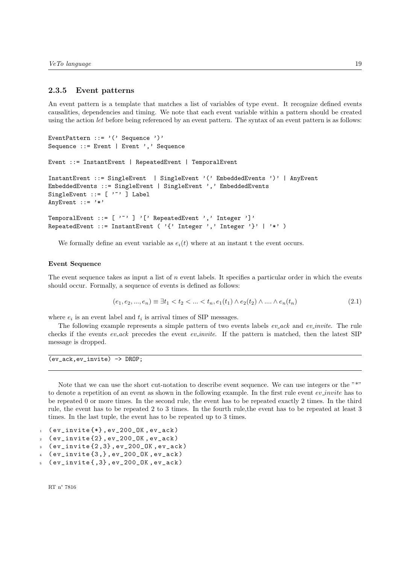### 2.3.5 Event patterns

An event pattern is a template that matches a list of variables of type event. It recognize defined events causalities, dependencies and timing. We note that each event variable within a pattern should be created using the action let before being referenced by an event pattern. The syntax of an event pattern is as follows:

```
EventPattern ::= '(' Sequence ')'
Sequence ::= Event | Event ',' Sequence
Event ::= InstantEvent | RepeatedEvent | TemporalEvent
InstantEvent ::= SingleEvent | SingleEvent '(' EmbeddedEvents ')' | AnyEvent
EmbeddedEvents ::= SingleEvent | SingleEvent ',' EmbeddedEvents
SingleEvent ::= [ '"' ] Label
AnyEvent ::= '*'
TemporalEvent ::= [ '~' ] '[' RepeatedEvent ',' Integer ']'
RepeatedEvent ::= InstantEvent ('{' Integer',' Integer'}' | '*' )
```
We formally define an event variable as  $e_i(t)$  where at an instant t the event occurs.

### Event Sequence

The event sequence takes as input a list of  $n$  event labels. It specifies a particular order in which the events should occur. Formally, a sequence of events is defined as follows:

$$
(e_1, e_2, ..., e_n) \equiv \exists t_1 < t_2 < ... < t_n, e_1(t_1) \land e_2(t_2) \land ... \land e_n(t_n) \tag{2.1}
$$

where  $e_i$  is an event label and  $t_i$  is arrival times of SIP messages.

The following example represents a simple pattern of two events labels ev\_ack and ev\_invite. The rule checks if the events  $ev\_{ack}$  precedes the event  $ev\_{invite}$ . If the pattern is matched, then the latest SIP message is dropped.

(ev\_ack,ev\_invite) -> DROP;

Note that we can use the short cut-notation to describe event sequence. We can use integers or the "\*" to denote a repetition of an event as shown in the following example. In the first rule event  $ev\_invite$  has to be repeated 0 or more times. In the second rule, the event has to be repeated exactly 2 times. In the third rule, the event has to be repeated 2 to 3 times. In the fourth rule,the event has to be repeated at least 3 times. In the last tuple, the event has to be repeated up to 3 times.

```
1 ( ev\_invite {*}, ev\_200\_0K, ev\_ack)
```

```
2 \times ( ev_invite\{2\}, ev_200_OK, ev_ack)
```

```
(ev_invite{2,3}, ev_200_OK, ev_ack)
```

```
4 ( ev\_invite \{3, \}, ev_2 00 \_{0K}, ev_ack )
```

```
(ev_invit{e}, 3}, ev_200_0K, ev_ack)
```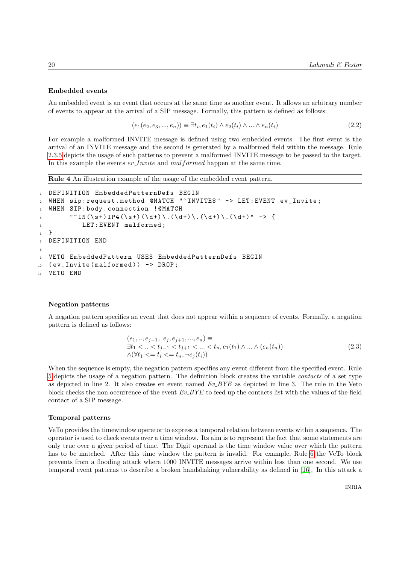### Embedded events

An embedded event is an event that occurs at the same time as another event. It allows an arbitrary number of events to appear at the arrival of a SIP message. Formally, this pattern is defined as follows:

$$
(e_1(e_2, e_3, ..., e_n)) \equiv \exists t_i, e_1(t_i) \land e_2(t_i) \land ... \land e_n(t_i)
$$
\n(2.2)

For example a malformed INVITE message is defined using two embedded events. The first event is the arrival of an INVITE message and the second is generated by a malformed field within the message. Rule 2.3.5 depicts the usage of such patterns to prevent a malformed INVITE message to be passed to the target. In this example the events  $ev\_Invite$  and malformed happen at the same time.

Rule 4 An illustration example of the usage of the embedded event pattern.

```
1 DEFINITION EmbeddedPatternDefs BEGIN
2 WHEN sip : request . method @MATCH "^ INVITE$ " -> LET : EVENT ev_Invite ;
3 WHEN SIP : body . connection ! @MATCH
4 " ^{\circ} IN (\s+) IP4 (\s+) (\d+) \.(\d+) \.(\d+) \.(\d+) " -> {
5 LET : EVENT malformed ;
6 }
7 DEFINITION END
8
9 VETO EmbeddedPattern USES EmbeddedPatternDefs BEGIN
10 ( ev_Invite (malformed ) ) -> DROP;
11 VETO END
```
### Negation patterns

A negation pattern specifies an event that does not appear within a sequence of events. Formally, a negation pattern is defined as follows:

$$
(e_1, ..., e_{j-1}, e_j, e_{j+1}, ..., e_n) \equiv
$$
  
\n
$$
\exists t_1 < ... < t_{j-1} < t_{j+1} < ... < t_n, e_1(t_1) \land ... \land (e_n(t_n))
$$
  
\n
$$
\land (\forall t_1 < = t_i < = t_n, \neg e_j(t_i))
$$
\n(2.3)

When the sequence is empty, the negation pattern specifies any event different from the specified event. Rule 5 depicts the usage of a negation pattern. The definition block creates the variable contacts of a set type as depicted in line 2. It also creates en event named Ev BYE as depicted in line 3. The rule in the Veto block checks the non occurrence of the event  $Ev_BYE$  to feed up the contacts list with the values of the field contact of a SIP message.

### Temporal patterns

VeTo provides the timewindow operator to express a temporal relation between events within a sequence. The operator is used to check events over a time window. Its aim is to represent the fact that some statements are only true over a given period of time. The Digit operand is the time window value over which the pattern has to be matched. After this time window the pattern is invalid. For example, Rule 6 the VeTo block prevents from a flooding attack where 1000 INVITE messages arrive within less than one second. We use temporal event patterns to describe a broken handshaking vulnerability as defined in [16]. In this attack a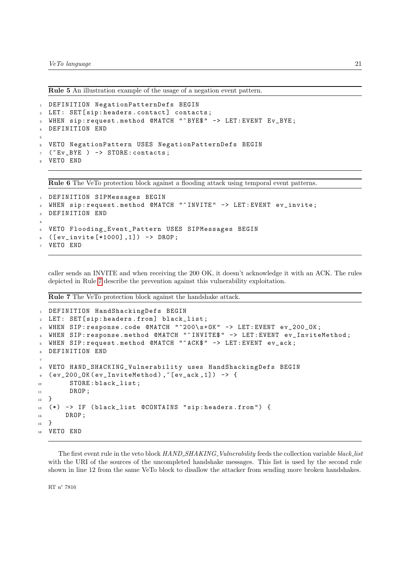Rule 5 An illustration example of the usage of a negation event pattern.

```
1 DEFINITION NegationPatternDefs BEGIN
2 LET: SET [sip: headers . contact] contacts;
3 WHEN sip : request . method @MATCH "^ BYE$ " -> LET : EVENT Ev_BYE ;
4 DEFINITION END
5
6 VETO NegationPattern USES NegationPatternDefs BEGIN
  ("Ev_BYE ) -> STORE: contacts;
 VETO END
```
Rule 6 The VeTo protection block against a flooding attack using temporal event patterns.

```
1 DEFINITION SIPMessages BEGIN
2 WHEN sip : request . method @MATCH "^ INVITE " -> LET : EVENT ev_invite ;
3 DEFINITION END
4
5 VETO Flooding_Event_Pattern USES SIPMessages BEGIN
6 ([ev_invite [*1000],1]) -> DROP;
 VETO END
```
caller sends an INVITE and when receiving the 200 OK, it doesn't acknowledge it with an ACK. The rules depicted in Rule 7 describe the prevention against this vulnerability exploitation.

Rule 7 The VeTo protection block against the handshake attack.

```
1 DEFINITION HandShackingDefs BEGIN
  LET: SET [ sip : headers . from ] black_list;
3 WHEN SIP : response . code @MATCH "^200\ s + OK " -> LET : EVENT ev_200_OK ;
4 WHEN SIP: response. method @MATCH "^INVITE$" -> LET: EVENT ev_InviteMethod;
5 WHEN SIP : request . method @MATCH "^ ACK$ " -> LET : EVENT ev_ack ;
6 DEFINITION END
7
8 VETO HAND_SHACKING_Vulnerability uses HandShackingDefs BEGIN
\frac{1}{2} ( ev_200_OK ( ev_InviteMethod ), "[ ev_ack, 1] ) -> {
10 STORE : black_list;
11 DROP ;
12 }
13 (*) -> IF ( black_list @CONTAINS " sip : headers . from ") {
14 DROP;
15 }
16 VETO END
```
The first event rule in the veto block HAND\_SHAKING\_Vulnerability feeds the collection variable black\_list with the URI of the sources of the uncompleted handshake messages. This list is used by the second rule shown in line 12 from the same VeTo block to disallow the attacker from sending more broken handshakes.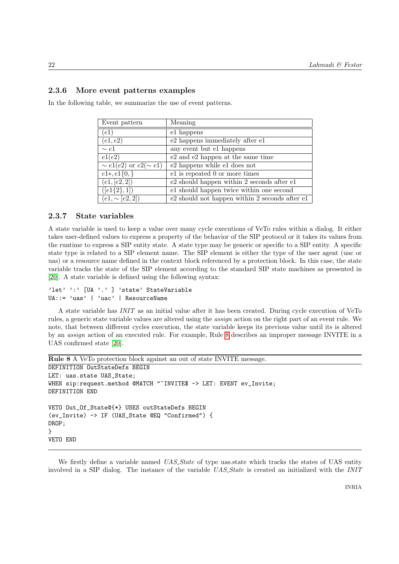### 2.3.6 More event patterns examples

In the following table, we summarize the use of event patterns.

| Event pattern                             | Meaning                                        |
|-------------------------------------------|------------------------------------------------|
| (e1)                                      | e1 happens                                     |
| (e1, e2)                                  | e2 happens immediately after e1                |
| $\sim e1$                                 | any event but el happens                       |
| e1(e2)                                    | e2 and e2 happen at the same time              |
| $\overline{\sim e}1(e2)$ or $e2(\sim e1)$ | e2 happens while e1 does not                   |
| $e1*, e1\{0,\}$                           | el is repeated 0 or more times                 |
| (e1, [e2, 2])                             | e2 should happen within 2 seconds after e1     |
| $\overline{([e1\{2\},1])}$                | e1 should happen twice within one second       |
| $(e1, \sim [e2, 2])$                      | e2 should not happen within 2 seconds after e1 |

### 2.3.7 State variables

A state variable is used to keep a value over many cycle executions of VeTo rules within a dialog. It either takes user-defined values to express a property of the behavior of the SIP protocol or it takes its values from the runtime to express a SIP entity state. A state type may be generic or specific to a SIP entity. A specific state type is related to a SIP element name. The SIP element is either the type of the user agent (uac or uas) or a resource name defined in the context block referenced by a protection block. In this case, the state variable tracks the state of the SIP element according to the standard SIP state machines as presented in [20]. A state variable is defined using the following syntax:

```
'let' ':' [UA '.' ] 'state' StateVariable
UA::= 'uas' | 'uac' | ResourceName
```
A state variable has INIT as an initial value after it has been created. During cycle execution of VeTo rules, a generic state variable values are altered using the assign action on the right part of an event rule. We note, that between different cycles execution, the state variable keeps its previous value until its is altered by an assign action of an executed rule. For example, Rule 8 describes an improper message INVITE in a UAS confirmed state [20].

```
Rule 8 A VeTo protection block against an out of state INVITE message.
DEFINITION OutStateDefs BEGIN
LET: uas.state UAS_State;
WHEN sip:request.method @MATCH "^INVITE$ -> LET: EVENT ev_Invite;
DEFINITION END
VETO Out_Of_State@{*} USES outStateDefs BEGIN
(ev_Invite) -> IF (UAS_State @EQ "Confirmed") {
DROP;
}
VETO END
```
We firstly define a variable named UAS\_State of type uas state which tracks the states of UAS entity involved in a SIP dialog. The instance of the variable UAS State is created an initialized with the INIT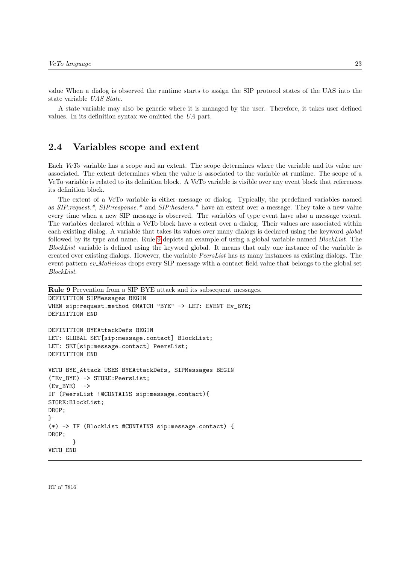value When a dialog is observed the runtime starts to assign the SIP protocol states of the UAS into the state variable UAS\_State.

A state variable may also be generic where it is managed by the user. Therefore, it takes user defined values. In its definition syntax we omitted the UA part.

# 2.4 Variables scope and extent

Each VeTo variable has a scope and an extent. The scope determines where the variable and its value are associated. The extent determines when the value is associated to the variable at runtime. The scope of a VeTo variable is related to its definition block. A VeTo variable is visible over any event block that references its definition block.

The extent of a VeTo variable is either message or dialog. Typically, the predefined variables named as SIP:request.\*, SIP:response.\* and SIP:headers.\* have an extent over a message. They take a new value every time when a new SIP message is observed. The variables of type event have also a message extent. The variables declared within a VeTo block have a extent over a dialog. Their values are associated within each existing dialog. A variable that takes its values over many dialogs is declared using the keyword global followed by its type and name. Rule 9 depicts an example of using a global variable named *BlockList*. The BlockList variable is defined using the keyword global. It means that only one instance of the variable is created over existing dialogs. However, the variable  $PeersList$  has as many instances as existing dialogs. The event pattern ev\_Malicious drops every SIP message with a contact field value that belongs to the global set BlockList.

```
Rule 9 Prevention from a SIP BYE attack and its subsequent messages.
```

```
DEFINITION SIPMessages BEGIN
WHEN sip:request.method @MATCH "BYE" -> LET: EVENT Ev_BYE;
DEFINITION END
DEFINITION BYEAttackDefs BEGIN
LET: GLOBAL SET[sip:message.contact] BlockList;
LET: SET[sip:message.contact] PeersList;
DEFINITION END
VETO BYE_Attack USES BYEAttackDefs, SIPMessages BEGIN
(~Ev_BYE) -> STORE:PeersList;
(Ev_BYE) ->
IF (PeersList !@CONTAINS sip:message.contact){
STORE:BlockList;
DROP;
}
(*) -> IF (BlockList @CONTAINS sip:message.contact) {
DROP;
       }
VETO END
```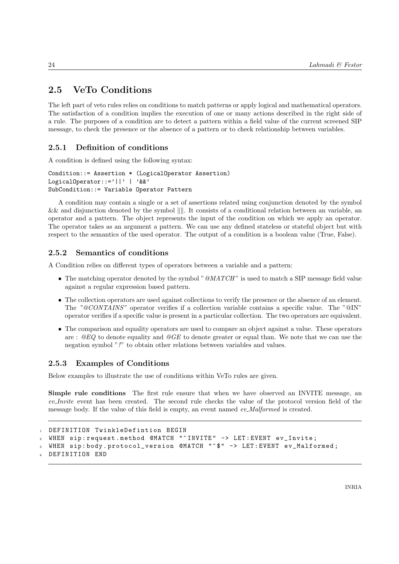# 2.5 VeTo Conditions

The left part of veto rules relies on conditions to match patterns or apply logical and mathematical operators. The satisfaction of a condition implies the execution of one or many actions described in the right side of a rule. The purposes of a condition are to detect a pattern within a field value of the current screened SIP message, to check the presence or the absence of a pattern or to check relationship between variables.

# 2.5.1 Definition of conditions

A condition is defined using the following syntax:

```
Condition::= Assertion * (LogicalOperator Assertion)
LogicalOperator::='||' | '&&'
SubCondition::= Variable Operator Pattern
```
A condition may contain a single or a set of assertions related using conjunction denoted by the symbol  $&\&$  and disjunction denoted by the symbol  $\| \|$ . It consists of a conditional relation between an variable, an operator and a pattern. The object represents the input of the condition on which we apply an operator. The operator takes as an argument a pattern. We can use any defined stateless or stateful object but with respect to the semantics of the used operator. The output of a condition is a boolean value (True, False).

## 2.5.2 Semantics of conditions

A Condition relies on different types of operators between a variable and a pattern:

- The matching operator denoted by the symbol " $@MATCH$ " is used to match a SIP message field value against a regular expression based pattern.
- The collection operators are used against collections to verify the presence or the absence of an element. The "@CONTAINS" operator verifies if a collection variable contains a specific value. The "@IN" operator verifies if a specific value is present in a particular collection. The two operators are equivalent.
- The comparison and equality operators are used to compare an object against a value. These operators are :  $@EQ$  to denote equality and  $@GE$  to denote greater or equal than. We note that we can use the negation symbol "!" to obtain other relations between variables and values.

## 2.5.3 Examples of Conditions

Below examples to illustrate the use of conditions within VeTo rules are given.

Simple rule conditions The first rule ensure that when we have observed an INVITE message, an ev Invite event has been created. The second rule checks the value of the protocol version field of the message body. If the value of this field is empty, an event named ev\_Malformed is created.

```
DEFINITION TwinkleDefintion BEGIN
WHEN sip: request. method @MATCH "^INVITE" -> LET: EVENT ev Invite:
WHEN sip:body.protocol_version @MATCH "^$" -> LET:EVENT ev_Malformed;
DEFINITION END
```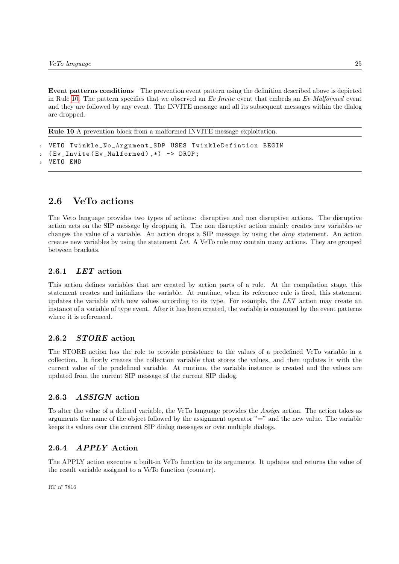Event patterns conditions The prevention event pattern using the definition described above is depicted in Rule 10. The pattern specifies that we observed an  $Ev\_Invite$  event that embeds an  $Ev\_Malformed$  event and they are followed by any event. The INVITE message and all its subsequent messages within the dialog are dropped.

Rule 10 A prevention block from a malformed INVITE message exploitation.

```
VETO Twinkle_No_Argument_SDP USES TwinkleDefintion BEGIN
2 ( Ev_Invite ( Ev_Malformed ) ,*) -> DROP ;
  VETO END
```
# 2.6 VeTo actions

The Veto language provides two types of actions: disruptive and non disruptive actions. The disruptive action acts on the SIP message by dropping it. The non disruptive action mainly creates new variables or changes the value of a variable. An action drops a SIP message by using the drop statement. An action creates new variables by using the statement Let. A VeTo rule may contain many actions. They are grouped between brackets.

### 2.6.1 LET action

This action defines variables that are created by action parts of a rule. At the compilation stage, this statement creates and initializes the variable. At runtime, when its reference rule is fired, this statement updates the variable with new values according to its type. For example, the  $LET$  action may create an instance of a variable of type event. After it has been created, the variable is consumed by the event patterns where it is referenced.

### 2.6.2 STORE action

The STORE action has the role to provide persistence to the values of a predefined VeTo variable in a collection. It firstly creates the collection variable that stores the values, and then updates it with the current value of the predefined variable. At runtime, the variable instance is created and the values are updated from the current SIP message of the current SIP dialog.

### 2.6.3 ASSIGN action

To alter the value of a defined variable, the VeTo language provides the Assign action. The action takes as arguments the name of the object followed by the assignment operator "=" and the new value. The variable keeps its values over the current SIP dialog messages or over multiple dialogs.

### 2.6.4 APPLY Action

The APPLY action executes a built-in VeTo function to its arguments. It updates and returns the value of the result variable assigned to a VeTo function (counter).

RT n° 7816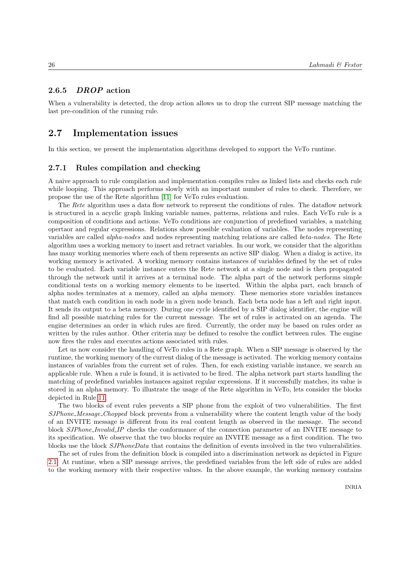### 2.6.5 DROP action

When a vulnerability is detected, the drop action allows us to drop the current SIP message matching the last pre-condition of the running rule.

## 2.7 Implementation issues

In this section, we present the implementation algorithms developed to support the VeTo runtime.

### 2.7.1 Rules compilation and checking

A naive approach to rule compilation and implementation compiles rules as linked lists and checks each rule while looping. This approach performs slowly with an important number of rules to check. Therefore, we propose the use of the Rete algorithm [11] for VeTo rules evaluation.

The Rete algorithm uses a data flow network to represent the conditions of rules. The dataflow network is structured in a acyclic graph linking variable names, patterns, relations and rules. Each VeTo rule is a composition of conditions and actions. VeTo conditions are conjunction of predefined variables, a matching opertaor and regular expressions. Relations show possible evaluation of variables. The nodes representing variables are called alpha-nodes and nodes representing matching relations are called beta-nodes. The Rete algorithm uses a working memory to insert and retract variables. In our work, we consider that the algorithm has many working memories where each of them represents an active SIP dialog. When a dialog is active, its working memory is activated. A working memory contains instances of variables defined by the set of rules to be evaluated. Each variable instance enters the Rete network at a single node and is then propagated through the network until it arrives at a terminal node. The alpha part of the network performs simple conditional tests on a working memory elements to be inserted. Within the alpha part, each branch of alpha nodes terminates at a memory, called an alpha memory. These memories store variables instances that match each condition in each node in a given node branch. Each beta node has a left and right input. It sends its output to a beta memory. During one cycle identified by a SIP dialog identifier, the engine will find all possible matching rules for the current message. The set of rules is activated on an agenda. The engine determines an order in which rules are fired. Currently, the order may be based on rules order as written by the rules author. Other criteria may be defined to resolve the conflict between rules. The engine now fires the rules and executes actions associated with rules.

Let us now consider the handling of VeTo rules in a Rete graph. When a SIP message is observed by the runtime, the working memory of the current dialog of the message is activated. The working memory contains instances of variables from the current set of rules. Then, for each existing variable instance, we search an applicable rule. When a rule is found, it is activated to be fired. The alpha network part starts handling the matching of predefined variables instances against regular expressions. If it successfully matches, its value is stored in an alpha memory. To illustrate the usage of the Rete algorithm in VeTo, lets consider the blocks depicted in Rule 11.

The two blocks of event rules prevents a SIP phone from the exploit of two vulnerabilities. The first SJPhone Message Chopped block prevents from a vulnerability where the content length value of the body of an INVITE message is different from its real content length as observed in the message. The second block *SJPhone\_Invalid\_IP* checks the conformance of the connection parameter of an INVITE message to its specification. We observe that the two blocks require an INVITE message as a first condition. The two blocks use the block SJPhoneData that contains the definition of events involved in the two vulnerabilities.

The set of rules from the definition block is compiled into a discrimination network as depicted in Figure 2.1. At runtime, when a SIP message arrives, the predefined variables from the left side of rules are added to the working memory with their respective values. In the above example, the working memory contains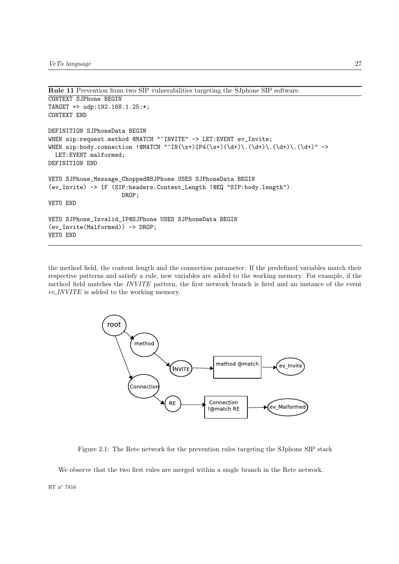```
Rule 11 Prevention from two SIP vulnerabilities targeting the SJphone SIP software.
CONTEXT SJPhone BEGIN
TARGET => udp:192.168.1.25:*;
CONTEXT END
DEFINITION SJPhoneData BEGIN
WHEN sip:request.method @MATCH "^INVITE" -> LET:EVENT ev_Invite;
WHEN sip:body.connection !@MATCH "^IN(\s+)IP4(\s+)(\d+)\.(\d+)\.(\d+)\.(\d+)" ->
 LET:EVENT malformed;
DEFINITION END
VETO SJPhone_Message_Chopped@SJPhone USES SJPhoneData BEGIN
(ev_Invite) -> IF (SIP:headers.Content_Length !@EQ "SIP:body.length")
                     DROP;
VETO END
VETO SJPhone_Invalid_IP@SJPhone USES SJPhoneData BEGIN
(ev_Invite(Malformed)) -> DROP;
VETO END
```
the method field, the content length and the connection parameter. If the predefined variables match their respective patterns and satisfy a rule, new variables are added to the working memory. For example, if the method field matches the INVITE pattern, the first network branch is fired and an instance of the event  $ev$ <sub>*INVITE* is added to the working memory.</sub>



Figure 2.1: The Rete network for the prevention rules targeting the SJphone SIP stack

We observe that the two first rules are merged within a single branch in the Rete network.

RT n° 7816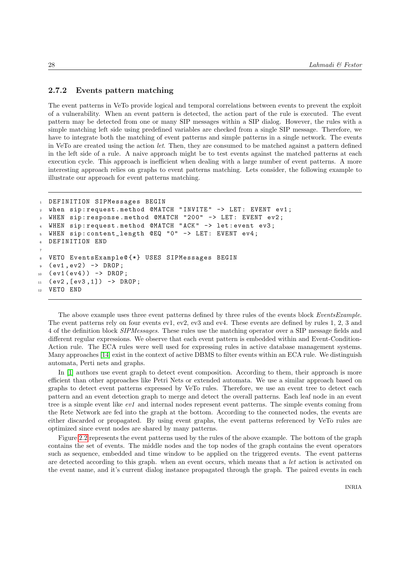### 2.7.2 Events pattern matching

The event patterns in VeTo provide logical and temporal correlations between events to prevent the exploit of a vulnerability. When an event pattern is detected, the action part of the rule is executed. The event pattern may be detected from one or many SIP messages within a SIP dialog. However, the rules with a simple matching left side using predefined variables are checked from a single SIP message. Therefore, we have to integrate both the matching of event patterns and simple patterns in a single network. The events in VeTo are created using the action let. Then, they are consumed to be matched against a pattern defined in the left side of a rule. A naive approach might be to test events against the matched patterns at each execution cycle. This approach is inefficient when dealing with a large number of event patterns. A more interesting approach relies on graphs to event patterns matching. Lets consider, the following example to illustrate our approach for event patterns matching.

```
1 DEFINITION SIPMessages BEGIN
2 when sip : request . method @MATCH " INVITE " -> LET : EVENT ev1 ;
3 WHEN sip : response . method @MATCH "200" -> LET : EVENT ev2 ;
4 WHEN sip : request . method @MATCH " ACK " -> let : event ev3 ;
5 WHEN sip : content_length @EQ "0" -> LET : EVENT ev4 ;
  6 DEFINITION END
7
8 VETO EventsExample@ {*} USES SIPMessages BEGIN
9 ( ev1, ev2 ) -> DROP;
10 ( ev1 ( ev4 ) ) -> DROP ;
11 ( ev2, [ev3, 1]) -> DROP;
12 VETO END
```
The above example uses three event patterns defined by three rules of the events block EventsExample. The event patterns rely on four events ev1, ev2, ev3 and ev4. These events are defined by rules 1, 2, 3 and 4 of the definition block SIPMessages. These rules use the matching operator over a SIP message fields and different regular expressions. We observe that each event pattern is embedded within and Event-Condition-Action rule. The ECA rules were well used for expressing rules in active database management systems. Many approaches [14] exist in the context of active DBMS to filter events within an ECA rule. We distinguish automata, Perti nets and graphs.

In [1] authors use event graph to detect event composition. According to them, their approach is more efficient than other approaches like Petri Nets or extended automata. We use a similar approach based on graphs to detect event patterns expressed by VeTo rules. Therefore, we use an event tree to detect each pattern and an event detection graph to merge and detect the overall patterns. Each leaf node in an event tree is a simple event like  $ev1$  and internal nodes represent event patterns. The simple events coming from the Rete Network are fed into the graph at the bottom. According to the connected nodes, the events are either discarded or propagated. By using event graphs, the event patterns referenced by VeTo rules are optimized since event nodes are shared by many patterns.

Figure 2.2 represents the event patterns used by the rules of the above example. The bottom of the graph contains the set of events. The middle nodes and the top nodes of the graph contains the event operators such as sequence, embedded and time window to be applied on the triggered events. The event patterns are detected according to this graph. when an event occurs, which means that a let action is activated on the event name, and it's current dialog instance propagated through the graph. The paired events in each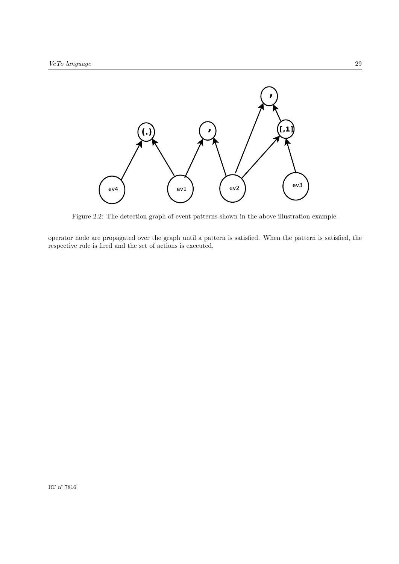

Figure 2.2: The detection graph of event patterns shown in the above illustration example.

operator node are propagated over the graph until a pattern is satisfied. When the pattern is satisfied, the respective rule is fired and the set of actions is executed.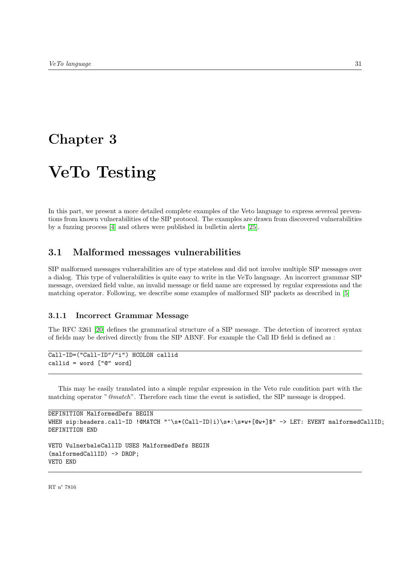# Chapter 3

# VeTo Testing

In this part, we present a more detailed complete examples of the Veto language to express severeal preventions from known vulnerabilities of the SIP protocol. The examples are drawn from discovered vulnerabilities by a fuzzing process [4] and others were published in bulletin alerts [25].

# 3.1 Malformed messages vulnerabilities

SIP malformed messages vulnerabilities are of type stateless and did not involve multiple SIP messages over a dialog. This type of vulnerabilities is quite easy to write in the VeTo language. An incorrect grammar SIP message, oversized field value, an invalid message or field name are expressed by regular expressions and the matching operator. Following, we describe some examples of malformed SIP packets as described in [5]

### 3.1.1 Incorrect Grammar Message

The RFC 3261 [20] defines the grammatical structure of a SIP message. The detection of incorrect syntax of fields may be derived directly from the SIP ABNF. For example the Call ID field is defined as :

```
Call-ID=("Call-ID"/"i") HCOLON callid
callid = word ["@" word]
```
This may be easily translated into a simple regular expression in the Veto rule condition part with the matching operator "@match". Therefore each time the event is satisfied, the SIP message is dropped.

```
DEFINITION MalformedDefs BEGIN
WHEN sip:headers.call-ID !@MATCH "^\s*(Call-ID|i)\s*:\s*w+[@w+]$" -> LET: EVENT malformedCallID;
DEFINITION END
VETO VulnerbaleCallID USES MalformedDefs BEGIN
(malformedCallID) -> DROP;
```
RT n° 7816

VETO END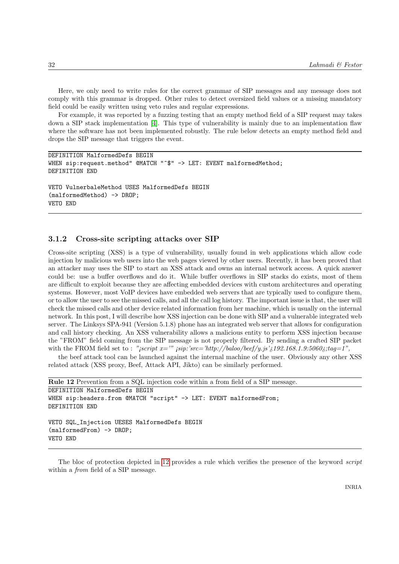Here, we only need to write rules for the correct grammar of SIP messages and any message does not comply with this grammar is dropped. Other rules to detect oversized field values or a missing mandatory field could be easily written using veto rules and regular expressions.

For example, it was reported by a fuzzing testing that an empty method field of a SIP request may takes down a SIP stack implementation [4]. This type of vulnerability is mainly due to an implementation flaw where the software has not been implemented robustly. The rule below detects an empty method field and drops the SIP message that triggers the event.

```
DEFINITION MalformedDefs BEGIN
WHEN sip:request.method" @MATCH "^$" -> LET: EVENT malformedMethod;
DEFINITION END
VETO VulnerbaleMethod USES MalformedDefs BEGIN
(malformedMethod) -> DROP;
VETO END
```
### 3.1.2 Cross-site scripting attacks over SIP

Cross-site scripting (XSS) is a type of vulnerability, usually found in web applications which allow code injection by malicious web users into the web pages viewed by other users. Recently, it has been proved that an attacker may uses the SIP to start an XSS attack and owns an internal network access. A quick answer could be: use a buffer overflows and do it. While buffer overflows in SIP stacks do exists, most of them are difficult to exploit because they are affecting embedded devices with custom architectures and operating systems. However, most VoIP devices have embedded web servers that are typically used to configure them, or to allow the user to see the missed calls, and all the call log history. The important issue is that, the user will check the missed calls and other device related information from her machine, which is usually on the internal network. In this post, I will describe how XSS injection can be done with SIP and a vulnerable integrated web server. The Linksys SPA-941 (Version 5.1.8) phone has an integrated web server that allows for configuration and call history checking. An XSS vulnerability allows a malicious entity to perform XSS injection because the "FROM" field coming from the SIP message is not properly filtered. By sending a crafted SIP packet with the FROM field set to : "jscript  $x="equiv'$ " jsip:'src='http://baloo/beef/y.js' {192.168.1.9:5060{{ $\cdot$ };tag=1",

the beef attack tool can be launched against the internal machine of the user. Obviously any other XSS related attack (XSS proxy, Beef, Attack API, Jikto) can be similarly performed.

```
Rule 12 Prevention from a SQL injection code within a from field of a SIP message.
DEFINITION MalformedDefs BEGIN
WHEN sip:headers.from @MATCH "script" -> LET: EVENT malformedFrom;
DEFINITION END
VETO SQL_Injection UESES MalformedDefs BEGIN
(malformedFrom) -> DROP;
VETO END
```
The bloc of protection depicted in 12 provides a rule which verifies the presence of the keyword *script* within a *from* field of a SIP message.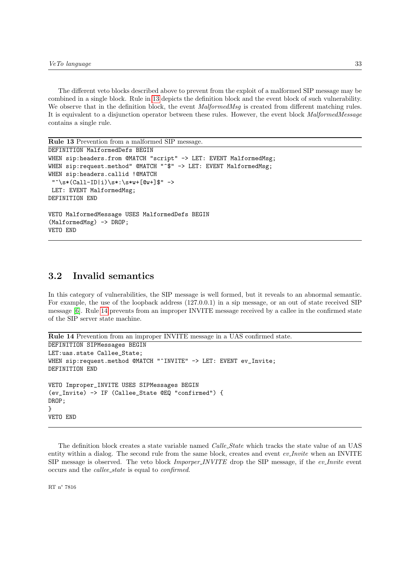The different veto blocks described above to prevent from the exploit of a malformed SIP message may be combined in a single block. Rule in 13 depicts the definition block and the event block of such vulnerability. We observe that in the definition block, the event *MalformedMsq* is created from different matching rules. It is equivalent to a disjunction operator between these rules. However, the event block MalformedMessage contains a single rule.

```
Rule 13 Prevention from a malformed SIP message.
```

```
DEFINITION MalformedDefs BEGIN
WHEN sip:headers.from @MATCH "script" -> LET: EVENT MalformedMsg;
WHEN sip:request.method" @MATCH "^$" -> LET: EVENT MalformedMsg;
WHEN sip:headers.callid ! @MATCH
 "\hat{}\s*(Call-ID|i)\s*:\s*w+[@w+]$" ->
LET: EVENT MalformedMsg;
DEFINITION END
VETO MalformedMessage USES MalformedDefs BEGIN
(MalformedMsg) -> DROP;
VETO END
```
# 3.2 Invalid semantics

In this category of vulnerabilities, the SIP message is well formed, but it reveals to an abnormal semantic. For example, the use of the loopback address (127.0.0.1) in a sip message, or an out of state received SIP message [6]. Rule 14 prevents from an improper INVITE message received by a callee in the confirmed state of the SIP server state machine.

```
Rule 14 Prevention from an improper INVITE message in a UAS confirmed state.
DEFINITION SIPMessages BEGIN
LET:uas.state Callee_State;
WHEN sip:request.method @MATCH "^INVITE" -> LET: EVENT ev_Invite;
DEFINITION END
VETO Improper_INVITE USES SIPMessages BEGIN
(ev_Invite) -> IF (Callee_State @EQ "confirmed") {
DROP;
}
VETO END
```
The definition block creates a state variable named *Calle\_State* which tracks the state value of an UAS entity within a dialog. The second rule from the same block, creates and event ev Invite when an INVITE SIP message is observed. The veto block *Imporper INVITE* drop the SIP message, if the *ev* Invite event occurs and the callee state is equal to confirmed.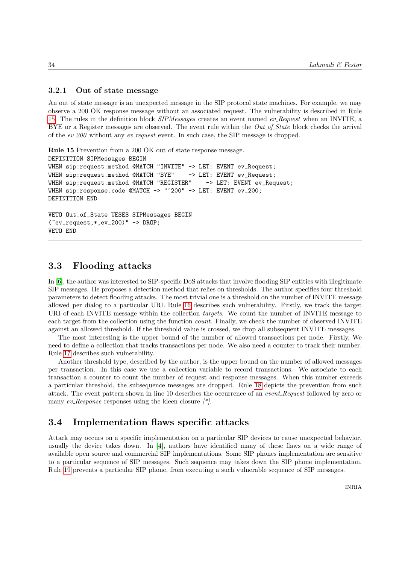### 3.2.1 Out of state message

An out of state message is an unexpected message in the SIP protocol state machines. For example, we may observe a 200 OK response message without an associated request. The vulnerability is described in Rule 15. The rules in the definition block SIPMessages creates an event named ev Request when an INVITE, a BYE or a Register messages are observed. The event rule within the  $Out_of_State$  block checks the arrival of the  $ev_200$  without any  $ev\_request$  event. In such case, the SIP message is dropped.

```
Rule 15 Prevention from a 200 OK out of state response message.
DEFINITION SIPMessages BEGIN
WHEN sip:request.method @MATCH "INVITE" -> LET: EVENT ev_Request;
WHEN sip:request.method @MATCH "BYE" -> LET: EVENT ev_Request;
WHEN sip:request.method @MATCH "REGISTER" -> LET: EVENT ev_Request;
WHEN sip:response.code @MATCH -> "^200" -> LET: EVENT ev_200;
DEFINITION END
VETO Out_of_State UESES SIPMessages BEGIN
(~ev_request,*,ev_200)" -> DROP;
VETO END
```
## 3.3 Flooding attacks

In [6], the author was interested to SIP-specific DoS attacks that involve flooding SIP entities with illegitimate SIP messages. He proposes a detection method that relies on thresholds. The author specifies four threshold parameters to detect flooding attacks. The most trivial one is a threshold on the number of INVITE message allowed per dialog to a particular URI. Rule 16 describes such vulnerability. Firstly, we track the target URI of each INVITE message within the collection *targets*. We count the number of INVITE message to each target from the collection using the function count. Finally, we check the number of observed INVITE against an allowed threshold. If the threshold value is crossed, we drop all subsequent INVITE messages.

The most interesting is the upper bound of the number of allowed transactions per node. Firstly, We need to define a collection that tracks transactions per node. We also need a counter to track their number. Rule 17 describes such vulnerability.

Another threshold type, described by the author, is the upper bound on the number of allowed messages per transaction. In this case we use a collection variable to record transactions. We associate to each transaction a counter to count the number of request and response messages. When this number exceeds a particular threshold, the subsequence messages are dropped. Rule 18 depicts the prevention from such attack. The event pattern shown in line 10 describes the occurrence of an event. Request followed by zero or many ev\_Response responses using the kleen closure  $\frac{1}{\epsilon}$ .

## 3.4 Implementation flaws specific attacks

Attack may occurs on a specific implementation on a particular SIP devices to cause unexpected behavior, usually the device takes down. In [4], authors have identified many of these flaws on a wide range of available open source and commercial SIP implementations. Some SIP phones implementation are sensitive to a particular sequence of SIP messages. Such sequence may takes down the SIP phone implementation. Rule 19 prevents a particular SIP phone, from executing a such vulnerable sequence of SIP messages.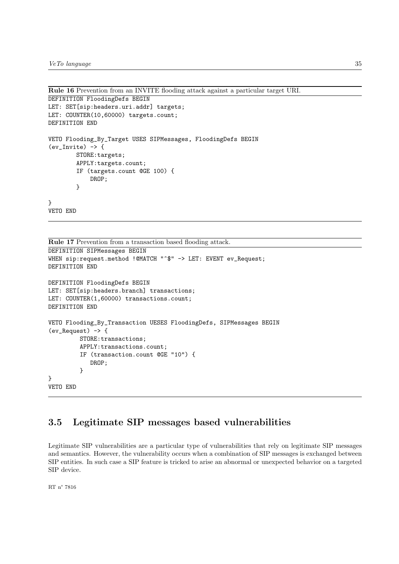```
Rule 16 Prevention from an INVITE flooding attack against a particular target URI.
```

```
DEFINITION FloodingDefs BEGIN
LET: SET[sip:headers.uri.addr] targets;
LET: COUNTER(10,60000) targets.count;
DEFINITION END
VETO Flooding_By_Target USES SIPMessages, FloodingDefs BEGIN
(ev_Invite) -> {
        STORE:targets;
        APPLY:targets.count;
        IF (targets.count @GE 100) {
            DROP;
        }
}
VETO END
```

```
Rule 17 Prevention from a transaction based flooding attack.
DEFINITION SIPMessages BEGIN
WHEN sip:request.method !@MATCH "^$" -> LET: EVENT ev_Request;
DEFINITION END
DEFINITION FloodingDefs BEGIN
LET: SET[sip:headers.branch] transactions;
LET: COUNTER(1,60000) transactions.count;
DEFINITION END
VETO Flooding_By_Transaction UESES FloodingDefs, SIPMessages BEGIN
(ev_Request) -> {
         STORE:transactions;
         APPLY:transactions.count;
         IF (transaction.count @GE "10") {
            DROP;
         }
}
VETO END
```
# 3.5 Legitimate SIP messages based vulnerabilities

Legitimate SIP vulnerabilities are a particular type of vulnerabilities that rely on legitimate SIP messages and semantics. However, the vulnerability occurs when a combination of SIP messages is exchanged between SIP entities. In such case a SIP feature is tricked to arise an abnormal or unexpected behavior on a targeted SIP device.

RT n° 7816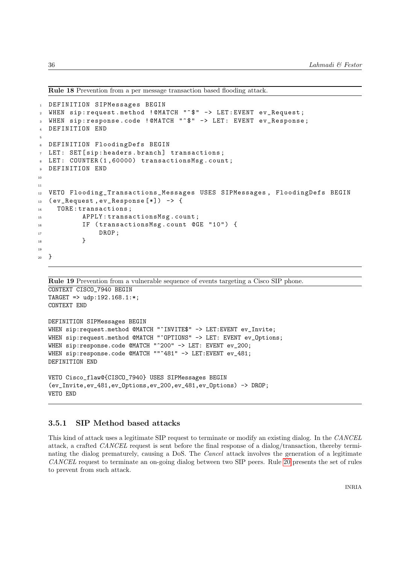Rule 18 Prevention from a per message transaction based flooding attack.

```
1 DEFINITION SIPMessages BEGIN
2 WHEN sip : request . method ! @MATCH "^$" -> LET : EVENT ev_Request ;
3 WHEN sip: response.code ! @MATCH "^$" -> LET: EVENT ev_Response;
4 DEFINITION END
5
6 DEFINITION FloodingDefs BEGIN
7 LET : SET [ sip : headers . branch ] transactions ;
  LET: COUNTER (1,60000) transactionsMsg.count;
9 DEFINITION END
10
11
12 VETO Flooding_Transactions_Messages USES SIPMessages , FloodingDefs BEGIN
13 (ev_Request, ev_Response [*]) -> {
14 TORE: transactions;
15 APPLY : transactionsMsg.count;
16 IF ( transactionsMsg . count @GE "10") {
<sup>17</sup> DROP ;
18 }
19
20 }
```

```
Rule 19 Prevention from a vulnerable sequence of events targeting a Cisco SIP phone.
CONTEXT CISCO_7940 BEGIN
TARGET => udp:192.168.1:*;
CONTEXT END
DEFINITION SIPMessages BEGIN
WHEN sip:request.method @MATCH "^INVITE$" -> LET:EVENT ev_Invite;
WHEN sip:request.method @MATCH "^OPTIONS" -> LET: EVENT ev_Options;
WHEN sip:response.code @MATCH "^200" -> LET: EVENT ev_200;
WHEN sip:response.code @MATCH ""^481" -> LET:EVENT ev_481;
DEFINITION END
VETO Cisco_flaw@{CISCO_7940} USES SIPMessages BEGIN
(ev_Invite,ev_481,ev_Options,ev_200,ev_481,ev_Options) -> DROP;
```
### 3.5.1 SIP Method based attacks

VETO END

This kind of attack uses a legitimate SIP request to terminate or modify an existing dialog. In the CANCEL attack, a crafted CANCEL request is sent before the final response of a dialog/transaction, thereby terminating the dialog prematurely, causing a DoS. The Cancel attack involves the generation of a legitimate CANCEL request to terminate an on-going dialog between two SIP peers. Rule 20 presents the set of rules to prevent from such attack.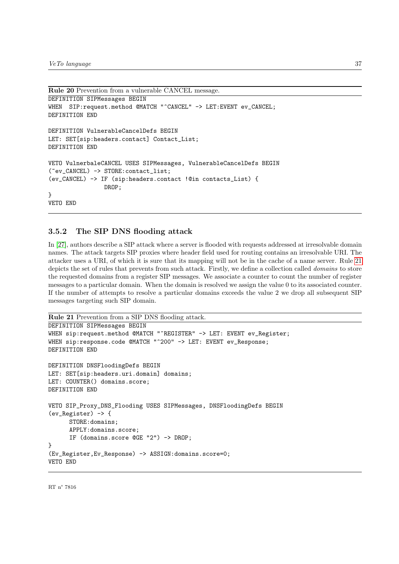```
Rule 20 Prevention from a vulnerable CANCEL message.
DEFINITION SIPMessages BEGIN
WHEN SIP: request.method @MATCH "^CANCEL" -> LET: EVENT ev_CANCEL;
DEFINITION END
DEFINITION VulnerableCancelDefs BEGIN
LET: SET[sip:headers.contact] Contact_List;
DEFINITION END
VETO VulnerbaleCANCEL USES SIPMessages, VulnerableCancelDefs BEGIN
(~ev_CANCEL) -> STORE:contact_list;
(ev_CANCEL) -> IF (sip:headers.contact !@in contacts_List) {
                DROP;
}
VETO END
```
### 3.5.2 The SIP DNS flooding attack

In [27], authors describe a SIP attack where a server is flooded with requests addressed at irresolvable domain names. The attack targets SIP proxies where header field used for routing contains an irresolvable URI. The attacker uses a URI, of which it is sure that its mapping will not be in the cache of a name server. Rule 21 depicts the set of rules that prevents from such attack. Firstly, we define a collection called *domains* to store the requested domains from a register SIP messages. We associate a counter to count the number of register messages to a particular domain. When the domain is resolved we assign the value 0 to its associated counter. If the number of attempts to resolve a particular domains exceeds the value 2 we drop all subsequent SIP messages targeting such SIP domain.

```
Rule 21 Prevention from a SIP DNS flooding attack.
```

```
DEFINITION SIPMessages BEGIN
WHEN sip:request.method @MATCH "^REGISTER" -> LET: EVENT ev_Register;
WHEN sip:response.code @MATCH "^200" -> LET: EVENT ev_Response;
DEFINITION END
DEFINITION DNSFloodingDefs BEGIN
LET: SET[sip:headers.uri.domain] domains;
LET: COUNTER() domains.score;
DEFINITION END
VETO SIP_Proxy_DNS_Flooding USES SIPMessages, DNSFloodingDefs BEGIN
(ev_Register) -> {
      STORE:domains;
      APPLY:domains.score;
      IF (domains.score @GE "2") -> DROP;
}
(Ev_Register,Ev_Response) -> ASSIGN:domains.score=0;
VETO END
```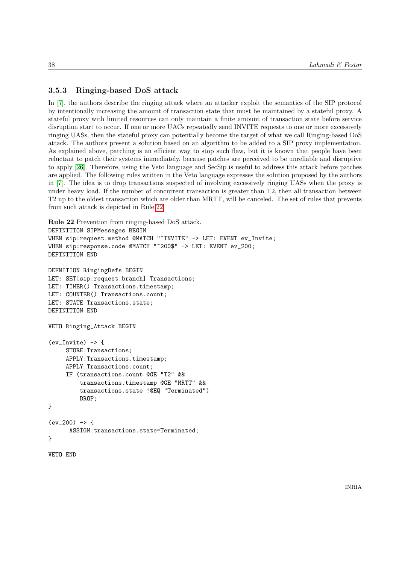### 3.5.3 Ringing-based DoS attack

In [7], the authors describe the ringing attack where an attacker exploit the semantics of the SIP protocol by intentionally increasing the amount of transaction state that must be maintained by a stateful proxy. A stateful proxy with limited resources can only maintain a finite amount of transaction state before service disruption start to occur. If one or more UACs repeatedly send INVITE requests to one or more excessively ringing UASs, then the stateful proxy can potentially become the target of what we call Ringing-based DoS attack. The authors present a solution based on an algorithm to be added to a SIP proxy implementation. As explained above, patching is an efficient way to stop such flaw, but it is known that people have been reluctant to patch their systems immediately, because patches are perceived to be unreliable and disruptive to apply [26]. Therefore, using the Veto language and SecSip is useful to address this attack before patches are applied. The following rules written in the Veto language expresses the solution proposed by the authors in [7]. The idea is to drop transactions suspected of involving excessively ringing UASs when the proxy is under heavy load. If the number of concurrent transaction is greater than T2, then all transaction between T2 up to the oldest transaction which are older than MRTT, will be canceled. The set of rules that prevents from such attack is depicted in Rule 22.

```
Rule 22 Prevention from ringing-based DoS attack.
```

```
DEFINITION SIPMessages BEGIN
WHEN sip:request.method @MATCH "^INVITE" -> LET: EVENT ev_Invite;
WHEN sip:response.code @MATCH "^200$" -> LET: EVENT ev_200;
DEFINITION END
DEFNITION RingingDefs BEGIN
LET: SET[sip:request.branch] Transactions;
LET: TIMER() Transactions.timestamp;
LET: COUNTER() Transactions.count;
LET: STATE Transactions.state;
DEFINITION END
VETO Ringing_Attack BEGIN
(ev_Invite) \rightarrow \{STORE:Transactions;
     APPLY:Transactions.timestamp;
     APPLY:Transactions.count;
     IF (transactions.count @GE "T2" &&
         transactions.timestamp @GE "MRTT" &&
         transactions.state !@EQ "Terminated")
         DROP;
}
(ev_200) \rightarrow \{ASSIGN:transactions.state=Terminated;
}
VETO END
```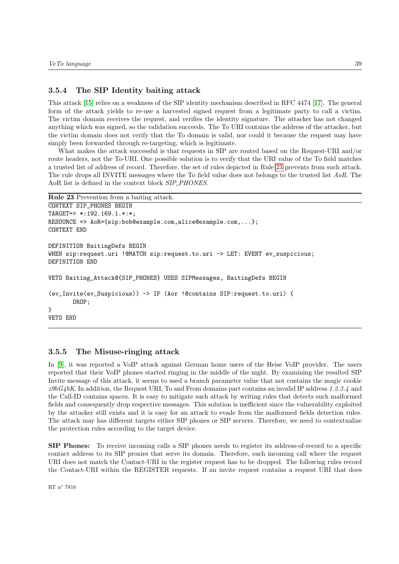### 3.5.4 The SIP Identity baiting attack

This attack [15] relies on a weakness of the SIP identity mechanism described in RFC 4474 [17]. The general form of the attack yields to re-use a harvested signed request from a legitimate party to call a victim. The victim domain receives the request, and verifies the identity signature. The attacker has not changed anything which was signed, so the validation succeeds. The To URI contains the address of the attacker, but the victim domain does not verify that the To domain is valid, nor could it because the request may have simply been forwarded through re-targeting, which is legitimate.

What makes the attack successful is that requests in SIP are routed based on the Request-URI and/or route headers, not the To-URI. One possible solution is to verify that the URI value of the To field matches a trusted list of address of record. Therefore, the set of rules depicted in Rule 23 prevents from such attack. The rule drops all INVITE messages where the To field value does not belongs to the trusted list AoR. The AoR list is defined in the context block SIP\_PHONES.

```
Rule 23 Prevention from a baiting attack.
```

```
CONTEXT SIP_PHONES BEGIN
TARGET=> *:192.169.1.*:*;
RESOURCE => AoR = {sip:bob@example.com,alice@example.com, . . .};
CONTEXT END
DEFINITION BaitingDefs BEGIN
WHEN sip:request.uri !@MATCH sip:request.to.uri -> LET: EVENT ev suspicious;
DEFINITION END
VETO Baiting_Attack@{SIP_PHONES} USES SIPMessages, BaitingDefs BEGIN
(ev_Invite(ev_Suspicious)) -> IF (Aor !@contains SIP:request.to.uri) {
       DROP;
}
VETO END
```
### 3.5.5 The Misuse-ringing attack

In [9], it was reported a VoIP attack against German home users of the Heise VoIP provider. The users reported that their VoIP phones started ringing in the middle of the night. By examining the resulted SIP Invite message of this attack, it seems to used a branch parameter value that not contains the magic cookie  $z9hG4bK$ . In addition, the Request URI, To and From domains part contains an invalid IP address 1.2.3.4 and the Call-ID contains spaces. It is easy to mitigate such attack by writing rules that detects such malformed fields and consequently drop respective messages. This solution is inefficient since the vulnerability exploited by the attacker still exists and it is easy for an attack to evade from the malformed fields detection rules. The attack may has different targets either SIP phones or SIP servers. Therefore, we need to contextualize the protection rules according to the target device.

SIP Phones: To receive incoming calls a SIP phones needs to register its address-of-record to a specific contact address to its SIP proxies that serve its domain. Therefore, each incoming call where the request URI does not match the Contact-URI in the register request has to be dropped. The following rules record the Contact-URI within the REGISTER requests. If an invite request contains a request URI that does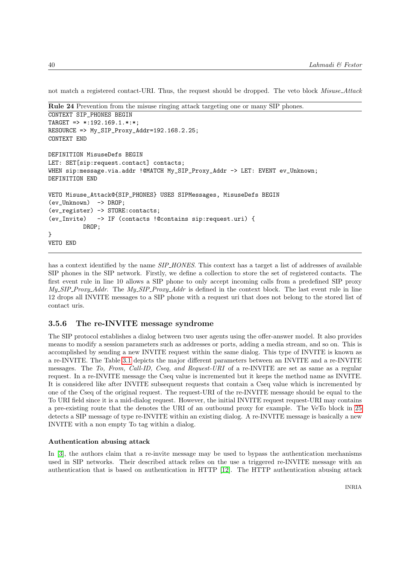not match a registered contact-URI. Thus, the request should be dropped. The veto block Misuse\_Attack

```
Rule 24 Prevention from the misuse ringing attack targeting one or many SIP phones.
```

```
CONTEXT SIP_PHONES BEGIN
TARGET => *:192.169.1.*.*RESOURCE => My_SIP_Proxy_Addr=192.168.2.25;
CONTEXT END
DEFINITION MisuseDefs BEGIN
LET: SET[sip:request.contact] contacts;
WHEN sip:message.via.addr !@MATCH My_SIP_Proxy_Addr -> LET: EVENT ev_Unknown;
DEFINITION END
VETO Misuse_Attack@{SIP_PHONES} USES SIPMessages, MisuseDefs BEGIN
(ev_Unknown) -> DROP;
(ev_register) -> STORE:contacts;
(ev_Invite) -> IF (contacts !@contains sip:request.uri) {
          DROP;
}
VETO END
```
has a context identified by the name *SIP\_HONES*. This context has a target a list of addresses of available SIP phones in the SIP network. Firstly, we define a collection to store the set of registered contacts. The first event rule in line 10 allows a SIP phone to only accept incoming calls from a predefined SIP proxy  $My\_SIP\_Proxy\_Addr$ . The  $My\_SIP\_Proxy\_Addr$  is defined in the context block. The last event rule in line 12 drops all INVITE messages to a SIP phone with a request uri that does not belong to the stored list of contact uris.

### 3.5.6 The re-INVITE message syndrome

The SIP protocol establishes a dialog between two user agents using the offer-answer model. It also provides means to modify a session parameters such as addresses or ports, adding a media stream, and so on. This is accomplished by sending a new INVITE request within the same dialog. This type of INVITE is known as a re-INVITE. The Table 3.1 depicts the major different parameters between an INVITE and a re-INVITE messages. The To, From, Call-ID, Cseq, and Request-URI of a re-INVITE are set as same as a regular request. In a re-INVITE message the Cseq value is incremented but it keeps the method name as INVITE. It is considered like after INVITE subsequent requests that contain a Cseq value which is incremented by one of the Cseq of the original request. The request-URI of the re-INVITE message should be equal to the To URI field since it is a mid-dialog request. However, the initial INVITE request request-URI may contains a pre-existing route that the denotes the URI of an outbound proxy for example. The VeTo block in 25 detects a SIP message of type re-INVITE within an existing dialog. A re-INVITE message is basically a new INVITE with a non empty To tag within a dialog.

### Authentication abusing attack

In [3], the authors claim that a re-invite message may be used to bypass the authentication mechanisms used in SIP networks. Their described attack relies on the use a triggered re-INVITE message with an authentication that is based on authentication in HTTP [12]. The HTTP authentication abusing attack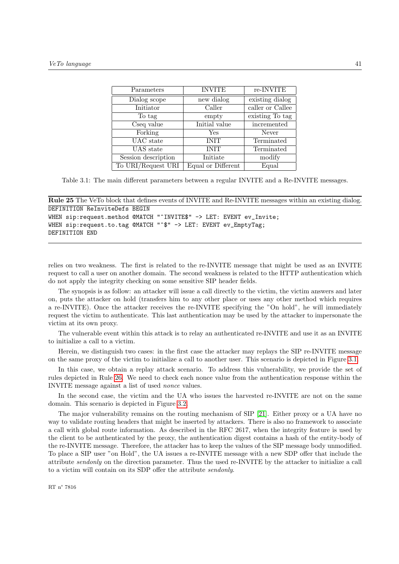| Parameters          | <b>INVITE</b>      | re-INVITE        |
|---------------------|--------------------|------------------|
| Dialog scope        | new dialog         | existing dialog  |
| Initiator           | Caller             | caller or Callee |
| To tag              | empty              | existing To tag  |
| Cseq value          | Initial value      | incremented      |
| Forking             | Yes                | Never            |
| UAC state           | <b>INIT</b>        | Terminated       |
| UAS state           | <b>INIT</b>        | Terminated       |
| Session description | Initiate           | modify           |
| To URI/Request URI  | Equal or Different | Equal            |

Table 3.1: The main different parameters between a regular INVITE and a Re-INVITE messages.

```
Rule 25 The VeTo block that defines events of INVITE and Re-INVITE messages within an existing dialog.
DEFINITION ReInviteDefs BEGIN
WHEN sip:request.method @MATCH "^INVITE$" -> LET: EVENT ev_Invite;
WHEN sip:request.to.tag @MATCH "^$" -> LET: EVENT ev_EmptyTag;
DEFINITION END
```
relies on two weakness. The first is related to the re-INVITE message that might be used as an INVITE request to call a user on another domain. The second weakness is related to the HTTP authentication which do not apply the integrity checking on some sensitive SIP header fields.

The synopsis is as follow: an attacker will issue a call directly to the victim, the victim answers and later on, puts the attacker on hold (transfers him to any other place or uses any other method which requires a re-INVITE). Once the attacker receives the re-INVITE specifying the "On hold", he will immediately request the victim to authenticate. This last authentication may be used by the attacker to impersonate the victim at its own proxy.

The vulnerable event within this attack is to relay an authenticated re-INVITE and use it as an INVITE to initialize a call to a victim.

Herein, we distinguish two cases: in the first case the attacker may replays the SIP re-INVITE message on the same proxy of the victim to initialize a call to another user. This scenario is depicted in Figure 3.1.

In this case, we obtain a replay attack scenario. To address this vulnerability, we provide the set of rules depicted in Rule 26. We need to check each nonce value from the authentication response within the INVITE message against a list of used nonce values.

In the second case, the victim and the UA who issues the harvested re-INVITE are not on the same domain. This scenario is depicted in Figure 3.2.

The major vulnerability remains on the routing mechanism of SIP [21]. Either proxy or a UA have no way to validate routing headers that might be inserted by attackers. There is also no framework to associate a call with global route information. As described in the RFC 2617, when the integrity feature is used by the client to be authenticated by the proxy, the authentication digest contains a hash of the entity-body of the re-INVITE message. Therefore, the attacker has to keep the values of the SIP message body unmodified. To place a SIP user "on Hold", the UA issues a re-INVITE message with a new SDP offer that include the attribute sendonly on the direction parameter. Thus the used re-INVITE by the attacker to initialize a call to a victim will contain on its SDP offer the attribute sendonly.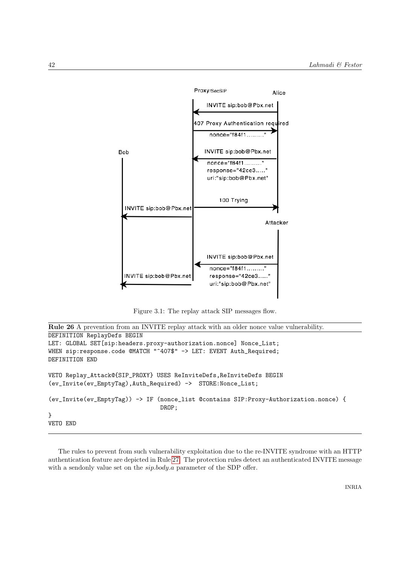

Figure 3.1: The replay attack SIP messages flow.

```
Rule 26 A prevention from an INVITE replay attack with an older nonce value vulnerability.
DEFINITION ReplayDefs BEGIN
LET: GLOBAL SET[sip:headers.proxy-authorization.nonce] Nonce_List;
WHEN sip:response.code @MATCH "^407$" -> LET: EVENT Auth_Required;
DEFINITION END
VETO Replay_Attack@{SIP_PROXY} USES ReInviteDefs,ReInviteDefs BEGIN
(ev_Invite(ev_EmptyTag),Auth_Required) -> STORE:Nonce_List;
(ev_Invite(ev_EmptyTag)) -> IF (nonce_list @contains SIP:Proxy-Authorization.nonce) {
                                DROP;
}
VETO END
```
The rules to prevent from such vulnerability exploitation due to the re-INVITE syndrome with an HTTP authentication feature are depicted in Rule 27. The protection rules detect an authenticated INVITE message with a sendonly value set on the  $\sin \cdot \frac{1}{2}$  parameter of the SDP offer.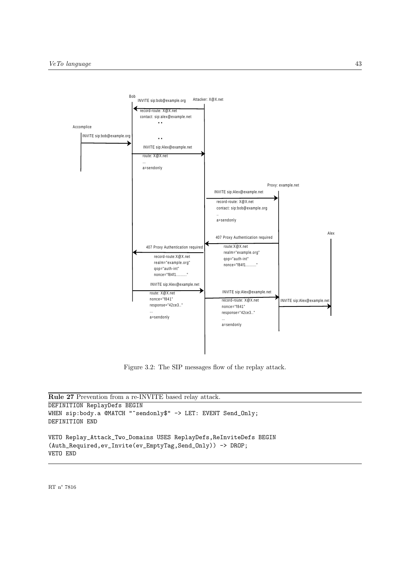

Figure 3.2: The SIP messages flow of the replay attack.

```
Rule 27 Prevention from a re-INVITE based relay attack.
DEFINITION ReplayDefs BEGIN
WHEN sip:body.a @MATCH "^sendonly$" -> LET: EVENT Send_Only;
DEFINITION END
VETO Replay_Attack_Two_Domains USES ReplayDefs,ReInviteDefs BEGIN
(Auth_Required,ev_Invite(ev_EmptyTag,Send_Only)) -> DROP;
VETO END
```
RT n° 7816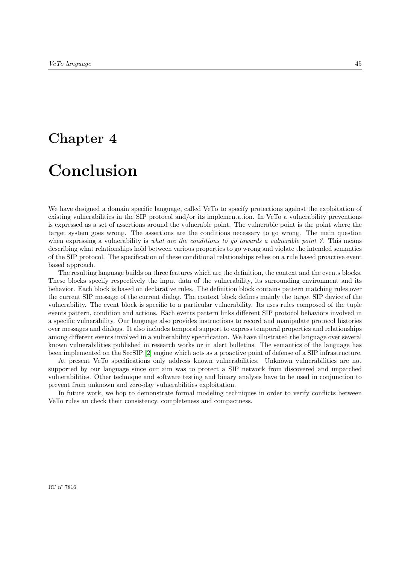# Chapter 4

# Conclusion

We have designed a domain specific language, called VeTo to specify protections against the exploitation of existing vulnerabilities in the SIP protocol and/or its implementation. In VeTo a vulnerability preventions is expressed as a set of assertions around the vulnerable point. The vulnerable point is the point where the target system goes wrong. The assertions are the conditions necessary to go wrong. The main question when expressing a vulnerability is what are the conditions to go towards a vulnerable point ?. This means describing what relationships hold between various properties to go wrong and violate the intended semantics of the SIP protocol. The specification of these conditional relationships relies on a rule based proactive event based approach.

The resulting language builds on three features which are the definition, the context and the events blocks. These blocks specify respectively the input data of the vulnerability, its surrounding environment and its behavior. Each block is based on declarative rules. The definition block contains pattern matching rules over the current SIP message of the current dialog. The context block defines mainly the target SIP device of the vulnerability. The event block is specific to a particular vulnerability. Its uses rules composed of the tuple events pattern, condition and actions. Each events pattern links different SIP protocol behaviors involved in a specific vulnerability. Our language also provides instructions to record and manipulate protocol histories over messages and dialogs. It also includes temporal support to express temporal properties and relationships among different events involved in a vulnerability specification. We have illustrated the language over several known vulnerabilities published in research works or in alert bulletins. The semantics of the language has been implemented on the SecSIP [2] engine which acts as a proactive point of defense of a SIP infrastructure.

At present VeTo specifications only address known vulnerabilities. Unknown vulnerabilities are not supported by our language since our aim was to protect a SIP network from discovered and unpatched vulnerabilities. Other technique and software testing and binary analysis have to be used in conjunction to prevent from unknown and zero-day vulnerabilities exploitation.

In future work, we hop to demonstrate formal modeling techniques in order to verify conflicts between VeTo rules an check their consistency, completeness and compactness.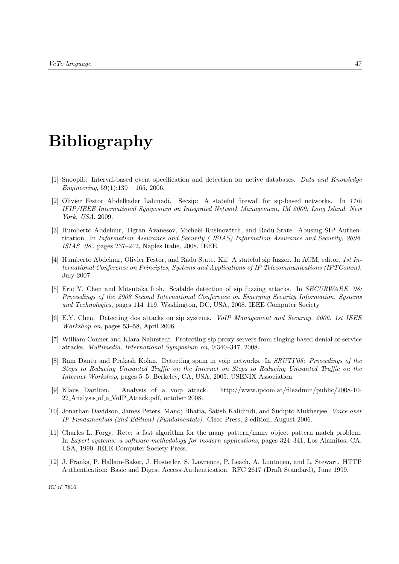# Bibliography

- [1] Snoopib: Interval-based event specification and detection for active databases. Data and Knowledge Engineering,  $59(1):139 - 165$ , 2006.
- [2] Olivier Festor Abdelkader Lahmadi. Secsip: A stateful firewall for sip-based networks. In 11th IFIP/IEEE International Symposium on Integrated Network Management, IM 2009, Long Island, New York, USA, 2009.
- [3] Humberto Abdelnur, Tigran Avanesov, Michaël Rusinowitch, and Radu State. Abusing SIP Authentication. In Information Assurance and Security ( ISIAS) Information Assurance and Security, 2008. ISIAS '08., pages 237–242, Naples Italie, 2008. IEEE.
- [4] Humberto Abdelnur, Olivier Festor, and Radu State. Kif: A stateful sip fuzzer. In ACM, editor, 1st International Conference on Principles, Systems and Applications of IP Telecommunications (IPTComm), July 2007.
- [5] Eric Y. Chen and Mitsutaka Itoh. Scalable detection of sip fuzzing attacks. In SECURWARE '08: Proceedings of the 2008 Second International Conference on Emerging Security Information, Systems and Technologies, pages 114–119, Washington, DC, USA, 2008. IEEE Computer Society.
- [6] E.Y. Chen. Detecting dos attacks on sip systems. VoIP Management and Security, 2006. 1st IEEE Workshop on, pages 53–58, April 2006.
- [7] William Conner and Klara Nahrstedt. Protecting sip proxy servers from ringing-based denial-of-service attacks. Multimedia, International Symposium on, 0:340–347, 2008.
- [8] Ram Dantu and Prakash Kolan. Detecting spam in voip networks. In SRUTI'05: Proceedings of the Steps to Reducing Unwanted Traffic on the Internet on Steps to Reducing Unwanted Traffic on the Internet Workshop, pages 5–5, Berkeley, CA, USA, 2005. USENIX Association.
- [9] Klaus Darilion. Analysis of a voip attack. http://www.ipcom.at/fileadmin/public/2008-10- 22 Analysis of a VoIP Attack.pdf, october 2008.
- [10] Jonathan Davidson, James Peters, Manoj Bhatia, Satish Kalidindi, and Sudipto Mukherjee. Voice over IP Fundamentals (2nd Edition) (Fundamentals). Cisco Press, 2 edition, August 2006.
- [11] Charles L. Forgy. Rete: a fast algorithm for the many pattern/many object pattern match problem. In Expert systems: a software methodology for modern applications, pages 324–341, Los Alamitos, CA, USA, 1990. IEEE Computer Society Press.
- [12] J. Franks, P. Hallam-Baker, J. Hostetler, S. Lawrence, P. Leach, A. Luotonen, and L. Stewart. HTTP Authentication: Basic and Digest Access Authentication. RFC 2617 (Draft Standard), June 1999.

RT n° 7816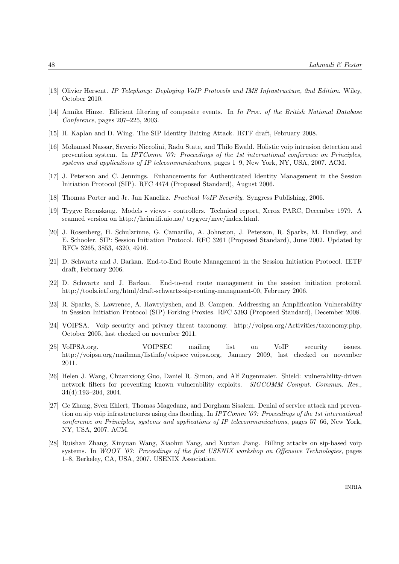- [13] Olivier Hersent. IP Telephony: Deploying VoIP Protocols and IMS Infrastructure, 2nd Edition. Wiley, October 2010.
- [14] Annika Hinze. Efficient filtering of composite events. In In Proc. of the British National Database Conference, pages 207–225, 2003.
- [15] H. Kaplan and D. Wing. The SIP Identity Baiting Attack. IETF draft, February 2008.
- [16] Mohamed Nassar, Saverio Niccolini, Radu State, and Thilo Ewald. Holistic voip intrusion detection and prevention system. In IPTComm '07: Proceedings of the 1st international conference on Principles, systems and applications of IP telecommunications, pages 1–9, New York, NY, USA, 2007. ACM.
- [17] J. Peterson and C. Jennings. Enhancements for Authenticated Identity Management in the Session Initiation Protocol (SIP). RFC 4474 (Proposed Standard), August 2006.
- [18] Thomas Porter and Jr. Jan Kanclirz. Practical VoIP Security. Syngress Publishing, 2006.
- [19] Trygve Reenskaug. Models views controllers. Technical report, Xerox PARC, December 1979. A scanned version on http://heim.ifi.uio.no/ trygver/mvc/index.html.
- [20] J. Rosenberg, H. Schulzrinne, G. Camarillo, A. Johnston, J. Peterson, R. Sparks, M. Handley, and E. Schooler. SIP: Session Initiation Protocol. RFC 3261 (Proposed Standard), June 2002. Updated by RFCs 3265, 3853, 4320, 4916.
- [21] D. Schwartz and J. Barkan. End-to-End Route Management in the Session Initiation Protocol. IETF draft, February 2006.
- [22] D. Schwartz and J. Barkan. End-to-end route management in the session initiation protocol. http://tools.ietf.org/html/draft-schwartz-sip-routing-managment-00, February 2006.
- [23] R. Sparks, S. Lawrence, A. Hawrylyshen, and B. Campen. Addressing an Amplification Vulnerability in Session Initiation Protocol (SIP) Forking Proxies. RFC 5393 (Proposed Standard), December 2008.
- [24] VOIPSA. Voip security and privacy threat taxonomy. http://voipsa.org/Activities/taxonomy.php, October 2005, last checked on november 2011.
- [25] VoIPSA.org. VOIPSEC mailing list on VoIP security issues. http://voipsa.org/mailman/listinfo/voipsec voipsa.org, January 2009, last checked on november 2011.
- [26] Helen J. Wang, Chuanxiong Guo, Daniel R. Simon, and Alf Zugenmaier. Shield: vulnerability-driven network filters for preventing known vulnerability exploits. SIGCOMM Comput. Commun. Rev., 34(4):193–204, 2004.
- [27] Ge Zhang, Sven Ehlert, Thomas Magedanz, and Dorgham Sisalem. Denial of service attack and prevention on sip voip infrastructures using dns flooding. In IPTComm '07: Proceedings of the 1st international conference on Principles, systems and applications of IP telecommunications, pages 57–66, New York, NY, USA, 2007. ACM.
- [28] Ruishan Zhang, Xinyuan Wang, Xiaohui Yang, and Xuxian Jiang. Billing attacks on sip-based voip systems. In WOOT '07: Proceedings of the first USENIX workshop on Offensive Technologies, pages 1–8, Berkeley, CA, USA, 2007. USENIX Association.